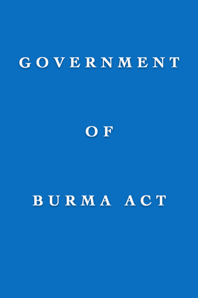# GOVERNMENT



# BURMA ACT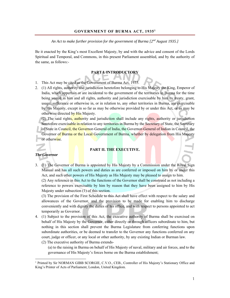### **GOVERNMENT OF BURMA ACT, 19351**

## *An Act to make further provision for the government of Burma [2nd August 1935.]*

Be it enacted by the King's most Excellent Majesty, by and with the advice and consent of the Lords Spiritual and Temporal, and Commons, in this present Parliament assembled, and by the authority of the same, as follows:-

# **PART I. INTRODUCTORY**

- 1. This Act may be cited as the Government of Burma Act, 1935.
- 2. (1) All rights, authority and jurisdiction heretofore belonging to His Majesty the King, Emperor of India, which appertain or are incidental to the government of the territories in Burma for the time being vested in him and all rights, authority and jurisdiction exercisable by him by treaty, grant, usage, sufferance or otherwise in, or in relation to, any other territories in Burma, are exercisable by His Majesty, except in so far as may be otherwise provided by or under this Act, or as may be otherwise directed by His Majesty.

(2) The said rights, authority and jurisdiction shall include any rights, authority or jurisdiction heretofore exercisable in relation to any territories in Burma by the Secretary of State, the Secretary of State in Council, the Governor-General of India, the Governor-General of Indian in Council, the Governor of Burma or the Local Government of Burma, whether by delegation from His Majesty or otherwise.

# **PART II. THE EXECUTIVE.**

#### *The Governor*

 $\overline{a}$ 

3. (1) The Governor of Burma is appointed by His Majesty by a Commission under the Royal Sign Manual and has all such powers and duties as are conferred or imposed on him by or under this Act, and such other powers of His Majesty as His Majesty may be pleased to assign to him.

(2) Any reference in this Act to the functions of the Governor shall be construed as not including a reference to powers exercisable by him by reason that they have been assigned to him by His Majesty under subsection (1) of this section.

(3) The provision of the First Schedule to this Act shall have effect with respect to the salary and allowances of the Governor, and the provision to be made for enabling him to discharge conveniently and with dignity the duties of his office, and with respect to persons appointed to act temporarily as Governor.

4. (1) Subject to the provision of this Act, the executive authority of Burma shall be exercised on behalf of His Majesty by the Governor, either directly or through officers subordinate to him, but nothing in this section shall prevent the Burma Legislature from conferring functions upon subordinate authorities, or be deemed to transfer to the Governor any functions conferred on any court, judge or officer, or any local or other authority, by any existing Indian or Burman law. (2) The executive authority of Burma extends-

(a) to the raising in Burma on behalf of His Majesty of naval, military and air forces, and to the governance of His Majesty's forces borne on the Burma establishment;

<sup>&</sup>lt;sup>1</sup> Printed by Sir NORMAN GIBB SCORGIE, C.V.O., CEB., Controller of His Majesty's Stationary Office and King's Printer of Acts of Parliament, London, United Kingdom.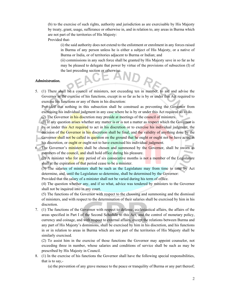(b) to the exercise of such rights, authority and jurisdiction as are exercisable by His Majesty by treaty, grant, usage, sufferance or otherwise in, and in relation to, any areas in Burma which are not part of the territories of His Majesty:

Provided that-

(i) the said authority does not extend to the enlistment or enrolment in any forces raised in Burma of any person unless he is either a subject of His Majesty, or a native of Burma or India, or of territories adjacent to Burma or Indian; and

(ii) commissions in any such force shall be granted by His Majesty save in so far as he may be pleased to delegate that power by virtue of the provisions of subsection (I) of the last preceding section or otherwise.

### *Administration.*

5. (1) There shall be a council of ministers, not exceeding ten in number, to aid and advise the Governor in the exercise of his functions, except in so far as he is by or under this Act required to exercise his functions or any of them in his discretion:

Provided that nothing in this subsection shall be construed as preventing the Governor from exercising his individual judgment in any case where he is by or under this Act required so to do.

(2) The Governor in his discretion may preside at meetings of the council of ministers.

- (3) If any question arises whether any matter is or is not a matter as respect which the Governor is by or under this **Act required** to act in his discretion or to exercise his individual judgment, the decision of the Governor in his discretion shall be final, and the validity of anything done by the Governor shall not be called in question on the ground that he ought or ought not be have acted in his discretion, or ought or ought not to have exercised his individual judgment.
- 6. The Governor's ministers shall be chosen and summoned by the Governor, shall be sworn as members of the council, and shall hold office during his pleasure.

(2) A minister who for any period of six consecutive months is not a member of the Legislature shall at the expiration of that period cease to be a minister.

(3) The salaries of ministers shall be such as the Legislature may from time to time by Act determine, and, until the Legislature so determine, shall be determined by the Governor:

Provided that the salary of a minister shall not be varied during his term of office.

(4) The question whether any, and if so what, advice was tendered by ministers to the Governor shall not be inquired into in any court.

(5) The functions of the Governor with respect to the choosing and summoning and the dismissal of ministers, and with respect to the determination of their salaries shall be exercised by him in his discretion.

7. (1) The functions of the Governor with respect to defense, ecclesiastical affairs, the affairs of the areas specified in Part I of the Second Schedule to this Act, and the control of monetary policy, currency and coinage, and with respect to external affairs, except the relations between Burma and any part of His Majesty's dominions, shall be exercised by him in his discretion, and his functions in or in relation to areas in Burma which are not part of the territories of His Majesty shall be similarly exercised.

(2) To assist him in the exercise of those functions the Governor may appoint counselor, not exceeding three in number, whose salaries and conditions of service shall be such as may be prescribed by His Majesty in Council.

8. (1) In the exercise of his functions the Governor shall have the following special responsibilities, that is to say,-

(a) the prevention of any grave menace to the peace or tranquility of Burma or any part thereof;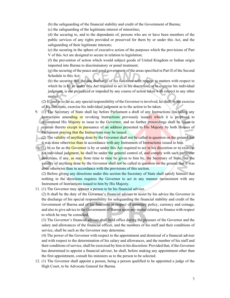(b) the safeguarding of the financial stability and credit of the Government of Burma;

(c) the safeguarding of the legitimate interest of minorities;

(d) the securing to, and to the dependants of, persons who are or have been members of the public services of any rights provided or preserved for them by or under this Act, and the safeguarding of their legitimate interests;

(e) the securing in the sphere of executive action of the purposes which the provisions of Part V of this Act are designed to secure in relation to legislation;

(f) the prevention of action which would subject goods of United Kingdom or Indian origin imported into Burma to discriminatory or penal treatment;

(g) the securing of the peace and good government of the areas specified in Part II of the Second Schedule to this Act;

(h) the securing that the due discharge of his functions with respect to matters with respect to which he is by or under this Act required to act in his discretion, or to exercise his individual judgment, is not prejudiced or impeded by any course of action taken with respect to any other matter.

(2) If, and in so far as, any special responsibility of the Governor is involved, he shall, in the exercise of his functions, exercise his individual judgment as to the action to be taken.

9. (1) The Secretary of State shall lay before Parliament a draft of any Instructions (including any Instructions amending or revoking Instructions previously issued) which it is proposed to recommend His Majesty to issue to the Governor, and no further proceedings shall be taken in relation thereto except in pursuance of an address presented to His Majesty by both Houses of Parliament praying that the Instructions may be issued.

(2) The validity of anything done by the Governor shall not be called in question on the ground that it was done otherwise than in accordance with any Instrument of Instructions issued to him.

10. (1) In so far as the Governor is by or under this Act required to act in his discretion or to exercise his individual judgment, he shall be under the general control of, and comply with such particular directions, if any, as may from time to time be given to him by, the Secretary of State, but the validity of anything done by the Governor shall not be called in question on the ground that it was done otherwise than in accordance with the provisions of this section.

(2) Before giving any directions under this section the Secretary of State shall satisfy himself that nothing in the directions requires the Governor to act in any manner inconsistent with any Instrument of Instructions issued to him by His Majesty.

11. (1) The Governor may appoint a person to be his financial adviser.

(2) It shall be the duty of the Governor's financial adviser to assist by his advice the Governor in the discharge of his special responsibility for safeguarding the financial stability and credit of the Government of Burma and of his functions in respect of monetary policy, currency and coinage, and also to give advice to the Government of Burma upon any matter relating to finance with respect to which he may be consulted.

(3) The Governor's financial adviser shall hold office during the pleasure of the Governor and the salary and allowances of the financial officer, and the numbers of his staff and their conditions of service, shall be such as the Governor may determine.

(4) The power of the Governor with respect to the appointment and dismissal of a financial adviser and with respect to the determination of his salary and allowances, and the number of his staff and their conditions of service, shall be exercised by him in his discretion: Provided that, if the Governor has determined to appoint a financial adviser, he shall, before making any appointment other than the first appointment, consult his ministers as to the person to be selected.

12. (1) The Governor shall appoint a person, being a person qualified to be appointed a judge of the High Court, to be Advocate General for Burma.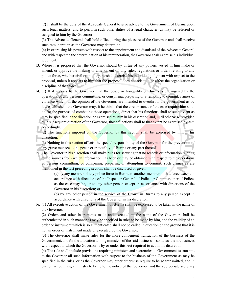(2) It shall be the duty of the Advocate General to give advice to the Government of Burma upon such legal matters, and to perform such other duties of a legal character, as may be referred or assigned to him by the Governor.

(3) The Advocate General shall hold office during the pleasure of the Governor and shall receive such remuneration as the Governor may determine.

(4) In exercising his powers with respect to the appointment and dismissal of the Advocate General and with respect to the determination of his remuneration, the Governor shall exercise his individual judgment.

- 13. Where it is proposed that the Governor should by virtue of any powers vested in him make or amend, or approve the making or amendment of, any rules, regulations or orders relating to any police force, whether civil or military, he shall exercise his individual judgment with respect to the proposal, unless it appears to him that the proposal does not relate to or effect the organization or discipline of that force.
- 14. (1) If it appears to the Governor that the peace or tranquility of Burma is endangered by the operations of any persons committing, or conspiring, preparing or attempting to commit, crimes of violence which, in the opinion of the Governor, are intended to overthrow the government as by law established, the Governor may, it he thinks that the circumstance of the case require him so to do for the purpose of combating those operations, direct that his functions shall to such extent as may be specified in the direction be exercised by him in his discretion and, until otherwise provided by a subsequent direction of the Governor, those functions shall to that extent be exercised by him accordingly.

(2) The functions imposed on the Governor by this section shall be exercised by him in his discretion.

(3) Nothing in this section affects the special responsibility of the Governor for the prevention of any grave menace to the peace or tranquility of Burma or any part thereof.

15. The Governor in his discretion shall make rules for securing that no records or information relating to the sources from which information has been or may be obtained with respect to the operations of persons committing, or conspiring, preparing or attempting to commit, such crimes as are mentioned in the last preceding section, shall be disclosed or given –

> (a) by any member of any police force in Burma to another member of that force except in accordance with directions of the Inspector-General of Police or Commissioner of Police, as the case may be, or to any other person except in accordance with directions of the Governor in his discretion; or

> (b) by any other person in the service of the Crown in Burma to any person except in accordance with directions of the Governor in his discretion.

16. (1) All executive action of the Government of Burma shall be expressed to be taken in the name of the Governor.

(2) Orders and other instruments made and executed in the name of the Governor shall be authenticated in such manner as may be specified in rules to be made by him, and the validity of an order or instrument which is so authenticated shall not be called in question on the ground that it is not an order or instrument made or executed by the Governor.

(3) The Governor shall make rules for the more convenient transaction of the business of the Government, and for the allocation among ministers of the said business in so far as it is not business with respect to which the Governor is by or under this Act required to act in his discretion.

(4) The rule shall include provisions requiring ministers and secretaries to Government to transmit to the Governor all such information with respect to the business of the Government as may be specified in the rules, or as the Governor may other otherwise require to be so transmitted, and in particular requiring a minister to bring to the notice of the Governor, and the appropriate secretary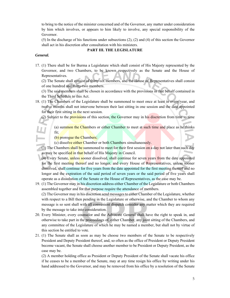to bring to the notice of the minister concerned and of the Governor, any matter under consideration by him which involves, or appears to him likely to involve, any special responsibility of the Governor.

(5) In the discharge of his functions under subsections (2), (2) and (4) of this section the Governor shall act in his discretion after consultation with his ministers.

## **PART III. THE LEGISLATURE**

#### *General.*

17. (1) There shall be for Burma a Legislature which shall consist of His Majesty represented by the Governor, and two Chambers, to be known respectively as the Senate and the House of Representatives.

(2) The Senate shall consist of thirty-six members, and the House of Representatives shall consist of one hundred and thirty-two members.

(3) The said members shall be chosen in accordance with the provisions in that behalf contained in the Third Schedule to this Act.

- 18. (1) The Chambers of the Legislature shall be summoned to meet once at least in every year, and twelve months shall not intervene between their last sitting in one session and the date appointed for their first sitting in the next session.
	- (2) Subject to the provisions of this section, the Governor may in his discretion from time to time  $\pm$

(a) summon the Chambers or either Chamber to meet at such time and place as he thinks fit;

(b) prorogue the Chambers;

(c) dissolve either Chamber or both Chambers simultaneously.

(3) The Chambers shall be summoned to meet for their first session on a day not later than such day as may be specified in that behalf of His Majesty in Council.

(4) Every Senate, unless sooner dissolved, shall continue for seven years from the date appointed for the first meeting thereof and no longer, and every House of Representatives, unless sooner dissolved, shall continue for five years from the date appointed for the first meeting thereof and no longer and the expiration of the said period of seven years or the said period of five years shall operate as a dissolution of the Senate or the House of Representatives, as the case may be.

19. (1) The Governor may in his discretion address either Chamber of the Legislature or both Chambers assembled together and for that purpose require the attendance of members.

(2) The Governor may in his discretion send messages to either Chamber of the Legislature, whether with respect to a Bill then pending in the Legislature or otherwise, and the Chamber to whom any message is so sent shall with all convenient dispatch consider any matter which they are required by the message to take into consideration.

- 20. Every Minister, every counselor and the Advocate General shall have the right to speak in, and otherwise to take part in the proceedings of, either Chamber, any joint sitting of the Chambers, and any committee of the Legislature of which he may be named a member, but shall not by virtue of this section be entitled to vote.
- 21. (1) The Senate shall as soon as may be choose two members of the Senate to be respectively President and Deputy President thereof, and, so often as the office of President or Deputy President become vacant, the Senate shall choose another member to be President or Deputy President, as the case may be.

(2) A member holding office as President or Deputy President of the Senate shall vacate his office if he ceases to be a member of the Senate, may at any time resign his office by writing under his hand addressed to the Governor, and may be removed from his office by a resolution of the Senate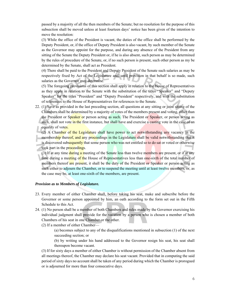passed by a majority of all the then members of the Senate; but no resolution for the purpose of this subsection shall be moved unless at least fourteen days' notice has been given of the intention to move the resolution:

(3) While the office of the President is vacant, the duties of the office shall be performed by the Deputy President, or, if the office of Deputy President is also vacant, by such member of the Senate as the Governor may appoint for the purpose, and during any absence of the President from any sitting of the Senate the Deputy President or, if he is also absent, such person as may be determined by the rules of procedure of the Senate, or, if no such person is present, such other person as my be determined by the Senate, shall act as President.

(4) There shall be paid to the President and Deputy President of the Senate such salaries as may be respectively fixed by Act of the Legislature and, until provision in that behalf is so made, such salaries as the Governor may determine.

(5) The foregoing provisions of this section shall apply in relation to the House of Representatives as they apply in relation to the Senate with the substitution of the titles "Speaker" and "Deputy Speaker" for the titles "President" and "Deputy President" respectively, and with the substitution of references to the House of Representatives for references to the Senate.

22. (1) Save as provided in the last preceding section, all questions at any sitting or joint sitting of the Chambers shall be determined by a majority of votes of the members present and voting, other than the President or Speaker or person acting as such. The President or Speaker, or person acting as such, shall not vote in the first instance, but shall have and exercise a casting vote in the case of an equality of votes.

(2) A Chamber of the Legislature shall have power to act notwithstanding any vacancy in the membership thereof, and any proceedings in the Legislature shall be valid notwithstanding that it is discovered subsequently that some person who was not entitled so to do sat or voted or otherwise took part in the proceedings.

(3) If at any time during a meeting of the Senate less than twelve members are present, or if at any time during a meeting of the House of Representatives less than one-sixth of the total number of members thereof are present, it shall be the duty of the President or Speaker or person acting as such either to adjourn the Chamber, or to suspend the meeting until at least twelve members, or, as the case may be, at least one-sixth of the members, are present.

#### *Provision as to Members of Legislature.*

- 23. Every member of either Chamber shall, before taking his seat, make and subscribe before the Governor or some person appointed by him, an oath according to the form set out in the Fifth Schedule to this Act.
- 24. (1) No person shall be a member of both Chambers and rules made by the Governor exercising his individual judgment shall provide for the vacation by a person who is chosen a member of both Chambers of his seat in one Chamber or the other.
	- (2) If a member of either Chamber—

(a) becomes subject to any of the disqualifications mentioned in subsection (1) of the next succeeding section; or

(b) by writing under his hand addressed to the Governor resign his seat, his seat shall thereupon become vacant.

(3) If for sixty days a member of either Chamber is without permission of the Chamber absent from all meetings thereof, the Chamber may declare his seat vacant. Provided that in computing the said period of sixty days no account shall be taken of any period during which the Chamber is prorogued or is adjourned for more than four consecutive days.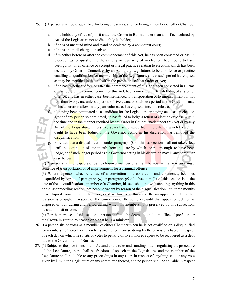- 25. (1) A person shall be disqualified for being chosen as, and for being, a member of either Chamber
	- a. if he holds any office of profit under the Crown in Burma, other than an office declared by Act of the Legislature not to disqualify its holder;
	- b. if he is of unsound mind and stand so declared by a competent court;
	- c. if he is an un-discharged insolvent;

–

- d. if, whether before or after the commencement of this Act, he has been convicted or has, in proceedings for questioning the validity or regularity of an election, been found to have been guilty, or an offence or corrupt or illegal practice relating to elections which has been declared by Order in Council, or by an Act of the Legislature, to be an offence or practice entailing disqualification for membership of the Legislature, unless such period has elapsed as may be specified in that behalf in the provisions of that Order or Act;
- e. if he has, whether before or after the commencement of this Act, been convicted in Burma or has, before the commencement of this Act, been convicted in British India, of any other offence, and has, in either case, been sentenced to transportation or to imprisonment for not less than two years, unless a period of five years, or such less period as the Governor may in his discretion allow in any particular case, has elapsed since his release;

if, having been nominated as a candidate for the Legislature or having acted as an election agent of any person so nominated, he has failed to lodge a return of election expense within<br>the time and in the manner required by any Order in Council made under this Act or by any<br>Act of the Legislature, unless five ye the time and in the manner required by any Order in Council made under this Act or by any Act of the Legislature, unless five years have elapsed from the date by which the return ought to have been lodge, or the Governor acting in his discretion has removed the disqualification:

g. Provided that a disqualification under paragraph *(f)* of this subsection shall not take effect until the expiration of one month from the date by which the return ought to have been lodge, or of such longer period as the Governor acting in his discretion may in any particular case below.

(2) A person shall not capable of being chosen a member of either Chamber while he is severing a sentence of transportation or of imprisonment for a criminal offence.

(3) Where a person who, by virtue of a conviction or a conviction and a sentence, becomes disqualified by virtue of paragraph *(d)* or paragraph *(e)* of subsection (1) of this section is at the date of the disqualification a member of a Chamber, his seat shall, notwithstanding anything in this or the last preceding section, not become vacant by reason of the disqualification until three months have elapsed from the date therefore, or if within those three months an appeal or petition for revision is brought in respect of the conviction or the sentence, until that appeal or petition is disposed of, but, during any period during which his membership is preserved by this subsection, he shall not sit or vote.

(4) For the purposes of this section a person shall not be deemed to hold an office of profit under the Crown in Burma by reason only that he is a minister.

- 26. If a person sits or votes as a member of either Chamber when he is not qualified or is disqualified for membership thereof, or when he is prohibited from so doing by the provisions liable in respect of each day on which he so sits or votes to penalty of five hundred rupees to be recovered as a debt due to the Government of Burma.
- 27. (1) Subject to the provisions of this Act and to the rules and standing orders regulating the procedure of the Legislature, there shall be freedom of speech in the Legislature, and no member of the Legislature shall be liable to any proceedings in any court in respect of anything said or any vote given by him in the Legislature or any committee thereof, and no person shall be so liable in respect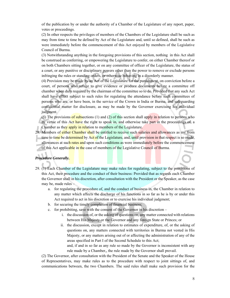of the publication by or under the authority of a Chamber of the Legislature of any report, paper, votes or proceedings.

(2) In other respects the privileges of members of the Chambers of the Legislature shall be such as may from time to time be defined by Act of the Legislature and, until so defined, shall be such as were immediately before the commencement of this Act enjoyed by members of the Legislative Council of Burma.

(3) Notwithstanding anything in the foregoing provisions of this section, nothing in this Act shall be construed as conferring, or empowering the Legislature to confer, on either Chamber thereof or on both Chambers sitting together, or on any committee of officer of the Legislature, the status of a court, or any punitive or disciplinary powers other than the power to remove or exclude persons infringing the rules or standing orders, or otherwise behaving in a disorderly manner.

(4) Provision may be made by an Act of the Legislature for the punishment, on conviction before a court, of persons who refuge to give evidence or produce documents before a committee off chamber when duly required by the chairman of the committee so to do. Provided that any such Act shall have effect subject to such rules for regulating the attendance before such committees of persons who are, or have been, in the service of the Crown in India or Burma, and safeguarding confidential matter for disclosure, as may be made by the Governor exercising his individual judgment.

(5) The provisions of subsections (1) and (2) of this section shall apply in relation to persons who by virtue of this Act have the right to speak in, and otherwise take part in the proceedings of, a Chamber as they apply in relation to members of the Legislature.

28. Members of either Chamber shall be entitled to receive such salaries and allowances as my from time to time be determined by Act of the Legislature, and, until provision in that respect is so made, allowances at such rates and upon such conditions as were immediately before the commencement of this Act applicable in the case of members of the Legislative Council of Burma.

# *Procedure Generally.*

- 29. (1) Each Chamber of the Legislature may make rules for regulating, subject to the provisions of this Act, their procedure and the conduct of their business: Provided that as regards each Chamber the Governor shall in his discretion, after consultation with the President or the Speaker, as the case may be, made rules –
	- a. for regulating the procedure of, and the conduct of business in, the Chamber in relation to any matter which affects the discharge of his functions in so far as he is by or under this Act required to act in his discretion or to exercise his individual judgment;
	- b. for securing the timely completion of financial business;
	- c. for prohibiting, save with the consent of the Governor in his discretion
		- i. the discussion of, or the asking of questions on, any matter connected with relations between His Majesty or the Governor and any foreign State or Princes; or
		- ii. the discussion, except in relation to estimates of expenditure, of, or the asking of questions on, any matters connected with territories in Burma not vested in His Majesty, or any matters arising out of or affecting the administration of any of the areas specified in Part I of the Second Schedule to this Act;

and, if and in so far as any rule so made by the Governor is inconsistent with any rule made by a Chamber,, the rule made by the Governor shall prevail.

(2) The Governor, after consultation with the President of the Senate and the Speaker of the House of Representatives, may make rules as to the procedure with respect to joint sittings of, and communications between, the two Chambers. The said rules shall make such provision for the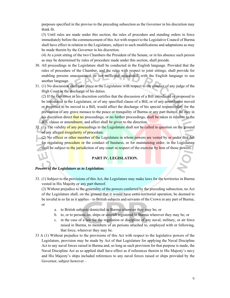purposes specified in the proviso to the preceding subsection as the Governor in his discretion may think fit.

(3) Until rules are made under this section, the rules of procedure and standing orders in force immediately before the commencement of this Act with respect to the Legislative Council of Burma shall have effect in relation to the Legislature, subject to such modifications and adaptations as may be made therein by the Governor in his discretion.

(4) At a joint sitting of the two Chambers the President of the Senate, or in his absence such person as may be determined by rules of procedure made under this section, shall preside.

- 30. All proceedings in the Legislature shall be conducted in the English language. Provided that the rules of procedure of the Chamber, and the rules with respect to joint sittings, shall provide for enabling persons unacquainted, or not sufficient acquainted, with the English language to use another language.
- 31. (1) No discussion shall take place in the Legislature with respect to the conduct of any judge of the High Court in the discharge of his duties.

(2) If the Governor in his discretion certifies that the discussion of a Bill introduced or proposed to be introduced in the Legislature, or of any specified clause of a Bill, or of any amendment moved or proposed to be moved to a Bill, would affect the discharge of his special responsibility for the prevention of any grave menace to the peace or tranquility of Burma or any part thereof, he may in his discretion direct that no proceedings, or no further proceedings, shall be taken in relation to the Bill, clause or amendment, and affect shall be given to the direction.

- 32. (1) The validity of any proceedings in the Legislature shall not be called in question on the ground of any alleged irregularity of procedure.
	- (2) No officer or other member of the Legislature in whom powers are vested by or under this Act for regulating procedure or the conduct of business, or for maintaining order, in the Legislature shall be subject to the jurisdiction of any court in respect of the exercise by him of those powers.

# **PART IV. LEGISLATION.**

#### *Powers of the Legislature as to Legislation.*

33. (1) Subject to the provisions of this Act, the Legislature may make laws for the territories in Burma vested in His Majesty or any part thereof.

(2) Without prejudice to the generality of the powers conferred by the preceding subsection, no Act of the Legislature shall, on the ground that it would have extra-territorial operation, be deemed to be invalid in so far as it applies – to British subjects and servants of the Crown in any part of Burma; or

- a. to British subjects domiciled in Burma wherever they may be; or
- b. to, or to persons on, ships or aircraft registered in Burma wherever they may be; or
- c. in the case of a law for the regulation or discipline of any naval, military, or air force raised in Burma, to members of an persons attached to, employed with or following, that force, wherever they may be.
- 33 A (1) Without prejudice to the provisions of this Act with respect to the legislative powers of the Legislature, provision may be made by Act of that Legislature for applying the Naval Discipline Act to any naval forces raised in Burma and, so long as such provision for that purpose is made, the Naval Discipline Act as so applied shall have effect as if references therein to His Majesty's navy and His Majesty's ships included references to any naval forces raised or ships provided by the Governor, subject however –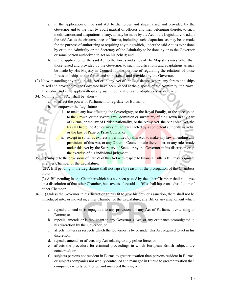- a. in the application of the said Act to the forces and ships raised and provided by the Governor and to the trial by court martial of officers and men belonging thereto, to such modifications and adaptations, if any, as may be made by the Act of the Legislature to adapt the said Act to the circumstances of Burma, including such adaptations as may be so made for the purpose of authorizing or requiring anything which, under the said Act, is to be done by or to the Admiralty or the Secretary of the Admiralty to be done by or to the Governor or some person authorized to act on his behalf; and
- b. in the application of the said Act to the forces and ships of His Majesty's navy other than those raised and provided by the Governor, to such modifications and adaptations as may be made by His Majesty in Council for the purpose of regulating the relations of those forces and ships to the forces and ships raised and provided by the Governor.
- (2) Notwithstanding anything in this Act or in any Act of the Legislature, where any forces and ships raised and provided by the Governor have been placed at the disposal of the Admiralty, the Naval Discipline Act shall apply without any such modifications and adaptations as aforesaid.
- 34. Nothing in this Act shall be taken –

–

- a. to affect the power of Parliament to legislate for Burma; or
- to empower the Legislature  $$ 
	- i. to make any law affecting the Sovereignty, or the Royal Family, or the succession to the Crown, or the sovereignty, dominion or suzerainty of the Crown in any part of Burma, or the law of British nationality, or the Army Act, the Air Force Act, the Naval Discipline Act, or any similar law enacted by a competent authority in India, or the law of Prize or Prize Courts; or
	- ii. except in so far as expressly permitted by this Act, to make any law amending any provisions of this Act, or any Order in Council made thereunder, or any rules made under this Act by the Secretary of State, or by the Governor in his discretion or in the exercise of his individual judgment.
- 35. (1) Subject to the provisions of Part VI of this Act with respect to financial Bills, a Bill may originate in either Chamber of the Legislature.

(2) A Bill pending in the Legislature shall not lapse by reason of the prorogation of the Chambers thereof.

(3) A Bill pending in one Chamber which has not been passed by the other Chamber shall not lapse on a dissolution of that other Chamber, but save as aforesaid all Bills shall lapse on a dissolution of either Chamber.

- 36. (1) Unless the Governor in his discretion thinks fit to give his previous sanction, there shall not be introduced into, or moved in, either Chamber of the Legislature, any Bill or any amendment which
	- a. repeals, amend or is repugnant to any provisions of any Act of Parliament extending to Burma; or
	- b. repeals, amends or is repugnant to any Governor's Act, or any ordinance promulgated in his discretion by the Governor; or
	- c. affects matters as respects which the Governor is by or under this Act required to act in his discretion;
	- d. repeals, amends or affects any Act relating to any police force; or
	- e. affects the procedure for criminal proceedings in which European British subjects are concerned; or
	- f. subjects persons not resident in Burma to greater taxation than persons resident in Burma, or subjects companies not wholly controlled and managed in Burma to greater taxation than companies wholly controlled and managed therein; or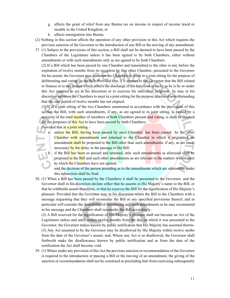- g. affects the grant of relief from any Burma tax on income in respect of income taxed or taxable in the United Kingdom; or
- h. affects immigration into Burma.
- (2) Nothing in this section affects the operation of any other provision in this Act which requires the previous sanction of the Governor to the introduction of any Bill or the moving of any amendment.
- 37. (1) Subject to the provisions of this section, a Bill shall not be deemed to have been passed by the Chambers of the Legislature unless it has been agreed to by both Chambers, either without amendments or with such amendments only as are agreed to by both Chambers.

(2) If a Bill which has been passed by one Chamber and transmitted to the other is not, before the expiration of twelve months from its reception by that other Chamber, presented to the Governor for his assent, the Governor may summon the Chambers to meet in a joint sitting for the purpose of deliberating and voting on the Bill; Provided that, if it appears to the Governor that the Bill related to finance or to any matter which affects the discharge of his functions in so far as he is by or under this Act required to act in his discretion or to exercise his individual judgment, he may in his discretion summon the Chambers to meet in a joint sitting for the purpose aforesaid notwithstanding that the said period of twelve months has not elapsed.

(3) If at a joint sitting of the two Chambers summoned in accordance with the provisions of this section the Bill, with such amendments, if any, as are agreed to in joint sitting, is passed by a majority of the total number of members of both Chambers present and voting, is shall be deemed for the purposes of this Act to have been passed by both Chambers:

Provided that at a joint sitting  $-$ 

ш

- a. unless the Bill, having been passed by once Chamber, has been passed by the other Chamber with amendments and returned to the Chamber in which it originated, no amendment shall be proposed to the Bill other than such amendments, if any, as are made necessary by the delay in the passage of the Bill;
- b. if the Bill has been so passed and returned, only such amendments as aforesaid shall be proposed to the Bill and such other amendments as are relevant to the matters with respect to which the Chambers have not agreed;

and the decision of the person presiding as to the amendments which are admissible under this subsection shall be final.

38. (1) When a Bill has been passed by the Chambers it shall be presented to the Governor, and the Governor shall in his discretion declare either that he assents in His Majesty's name to the Bill, or that he withholds assent therefrom, or that he reserves the Bill for the signification of His Majesty's pleasure. Provided that the Governor may in his discretion return the Bill to the Chambers with a message requesting that they will reconsider the Bill or any specified provisions thereof, and in particular will consider the desirability of introducing any such amendments as he may recommend in his message and the Chambers shall reconsider the Bill accordingly.

(2) A Bill reserved for the signification of His Majesty's pleasure shall not become an Act of the Legislature unless and until, within twelve months from the day on which it was presented to the Governor, the Governor makes known by public notification that His Majesty has assented thereto. (3) Any Act assented to by the Governor may be disallowed by His Majesty within twelve moths from the date of the Governor's assent, and, Where any Act is so disallowed, the Governor shall forthwith make the disallowance known by public notification and as from the date of the notification the Act shall become void.

39. (1) Where under any provision of this Act the previous sanction or recommendation of the Governor is required to the introduction or passing a Bill or the moving of an amendment, the giving of the sanction or recommendation shall not be construed as precluding him from exercising subsequently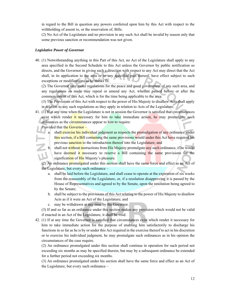in regard to the Bill in question any powers conferred upon him by this Act with respect to the withholding of assent to, or the reservation of, Bills.

(2) No Act of the Legislature and no provision in any such Act shall be invalid by reason only that some previous sanction or recommendation was not given.

#### *Legislative Power of Governor*

40. (1) Notwithstanding anything in this Part of this Act, no Act of the Legislature shall apply to any area specified in the Second Schedule to this Act unless the Governor by public notification so directs, and the Governor in giving such a direction with respect to any Act may direct that the Act shall, in its application to the area or to any specified past thereof, have effect subject to such exceptions or modifications as he thinks fit.

(2) The Governor may make regulations for the peace and good government of any such area, and any regulations so made may repeal or amend any Act, whether passed before or after the commencement of this Act, which is for the time being applicable to the area.

(3) The Provisions of this Act with respect to the power of His Majesty to disallow Acts shall apply in relation to any such regulations as they apply in relation to Acts of the Legislature.

41. (1) If at any time when the Legislature is not in session the Governor is satisfied that circumstances exist which render it necessary for him to take immediate action, he may promulgate such ordinances as the circumstances appear to him to require:

Provided that the Governor –

- a. shall exercise his individual judgment as respects the promulgation of any ordinance under this section, if a Bill containing the same provisions would under this Act have required his previous sanction to the introduction thereof into the Legislature; and
- b. shall not without instructions from His Majesty promulgate any such ordinance, if he would have deemed it necessary to reserve a Bill containing the same provisions for the signification of His Majesty's pleasure.

(2) An ordinance promulgated under this section shall have the same force and effect as an Act of the Legislature, but every such ordinance –

- a. shall be laid before the Legislature, and shall cease to operate at the expiration of six weeks from the reassembly of the Legislature, or, if a resolution disapproving it is passed by the House of Representatives and agreed to by the Senate, upon the resolution being agreed to by the Senate;
- b. shall be subject to the provisions of this Act relating to the power of His Majesty to disallow Acts as if it were an Act of the Legislature; and
- c. may be withdrawn at any time by the Governor.

(3) If and so far as an ordinance under this section makes any provision which would not be valid if enacted in an Act of the Legislature, it shall be void.

42. (1) If at any time the Governor is satisfied that circumstances exist which render it necessary for him to take immediate action for the purpose of enabling him satisfactorily to discharge his functions in so far as he is by or under this Act required in the exercise thereof to act in his discretion or to exercise his individual judgment, he may promulgate such ordinances as in his opinion the circumstances of the case require.

(2) An ordinance promulgated under this section shall continue in operation for such period not exceeding six months as may be specified therein, but may by a subsequent ordinance be extended for a further period not exceeding six months.

(3) An ordinance promulgated under his section shall have the same force and effect as an Act of the Legislature, but every such ordinance –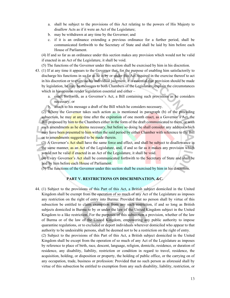- a. shall be subject to the provisions of this Act relating to the powers of His Majesty to disallow Acts as if it were an Act of the Legislature;
- b. may be withdrawn at any time by the Governor; and
- c. if it is an ordinance extending a previous ordinance for a further period, shall be communicated forthwith to the Secretary of State and shall be laid by him before each House of Parliament.

(4) If and so far as an ordinance under this section makes any provision which would not be valid if enacted in an Act of the Legislature, it shall be void.

(5) The functions of the Governor under this section shall be exercised by him in his discretion.

- 43. (1) If at any time it appears to the Governor that, for the purpose of enabling him satisfactorily to discharge his functions in so far as he is by or under this Act required in the exercise thereof to act in his discretion or to exercise his individual judgment, it is essential that provision should be made by legislation, he may be messages to both Chambers of the Legislature, explain the circumstances which in his opinion render legislation essential and either –
	- a. enact forthwith, as a Governor's Act, a Bill containing such provisions as he considers necessary; or
	- b. attach to his message a draft of the Bill which he considers necessary.

(2) Where the Governor takes such action as is mentioned in paragraph (b) of the preceding subsection, he may at any time after the expiration of one month enact, as a Governor's Act, the Bill proposed by him to the Chambers either in the form of the draft communicated to them, or with such amendments as he deems necessary, but before so doing he shall consider any address which may have been presented to him within the said period by either Chamber with reference to the Bill or to amendments suggested to be made therein.

(3) A Governor's **Act shall** have the same force and effect, and shall be subject to disallowance in the same manner, as an Act of the Legislature, and, if and so far as it makes any provision which would not be valid if enacted in an Act of the Legislature, it shall be void.

(4) Every Governor's Act shall be communicated forthwith to the Secretary of State and shall be laid by him before each House of Parliament.

(5) The functions of the Governor under this section shall be exercised by him in his discretion.

# **PART V. RESTRICTIONS ON DISCRIMINATION, &C.**

44. (1) Subject to the provisions of this Part of this Act, a British subject domiciled in the United Kingdom shall be exempt from the operation of so much of any Act of the Legislature as imposes any restriction on the right of entry into Burma: Provided that no person shall by virtue of this subsection be entitled to claim exemption from any such restriction, if and so long as British subjects domiciled in Burma re by or under the law of the United Kingdom subject in the United Kingdom to a like restriction. For the purposes of this subsection a provision, whether of the law of Burma or of the law of the United Kingdom, empowering any public authority to impose quarantine regulations, or to excluded or deport individuals wherever domiciled who appear to that authority to be undesirable persons, shall be deemed not to be a restriction on the right of entry.

(2) Subject to the provisions of this Part of this Act, a British subject domiciled in the United Kingdom shall be except from the operation of so much of any Act of the Legislature as imposes by reference to place of birth, race, descent, language, religion, domicile, residence, or duration of residence, any disability, liability, restriction or condition in regard to travel, residence, the acquisition, holding, or disposition or property, the holding of public office, or the carrying on of any occupation, trade, business or profession: Provided that no such person as aforesaid shall by virtue of this subsection be entitled to exemption from any such disability, liability, restriction, or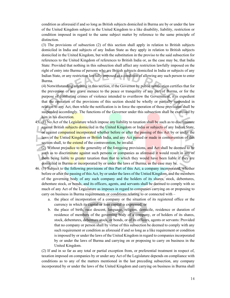condition as aforesaid if and so long as British subjects domiciled in Burma are by or under the law of the United Kingdom subject in the United Kingdom to a like disability, liability, restriction or condition imposed in regard to the same subject matter by reference to the same principle of distinction.

(3) The provisions of subsection (2) of this section shall apply in relation to British subjects domiciled in India and subjects of any Indian State as they apply in relation to British subjects domiciled in the United Kingdom, but with the substitution in the proviso to the said subsection for references to the United Kingdom of references to British India or, as the case may be, that India State: Provided that nothing in this subsection shall affect any restriction lawfully imposed on the right of entry into Burma of persons who are British subjects domiciled in India or subjects of any Indian State, or any restriction lawfully imposed as a condition of allowing any such person to enter Burma.

(4) Notwithstanding anything in this section, if the Governor by public notification certifies that for the prevention of any grave menace to the peace or tranquility of any part of Burma, or for the purpose of combating crimes of violence intended to overthrow the Government, it is expedient that the operation of the provisions of this section should be wholly or partially suspended in relation to any Act, then while the notification is in force the operation of those provisions shall be suspended accordingly. The functions of the Governor under this subsection shall be exercised by him in his discretion.

45. (1) No Act of the Legislature which impose any liability to taxation shall be such as to discriminate against British subjects domiciled in the United Kingdom or India or subjects of any Indian State, or against companied incorporated whether before or after the passing of this Act by or under the laws of the Untied Kingdom or British India, and any Act passed or made in contravention of this section shall, to the extend of the contravention, be invalid.

(2) Without prejudice to the generality of the foregoing provisions, and Act shall be deemed to be such as to discriminate against such persons or companies as aforesaid it would result in any of them being liable to greater taxation than that to which they would have been liable if they ere domiciled in Burma or incorporated by or under the laws of Burma, as the case may be.

- 46. (1) Subject to the following provisions of this Part of this Act, a company incorporated, whether before or after the passing of this Act, by or under the laws of the Untied Kingdom, and the members of the governing body of any such company and the holders of its shares, stock, debentures, debenture stock, or bonds, and its officers, agents, and servants shall be deemed to comply with so much of any Act of the Legislature as imposes in regard to companies carrying on or proposing to carry on business in Burma requirements or conditions relating to or connected with –
	- a. the place of incorporation of a company or the situation of its registered office or the currency in which its capital or loan capital is expressed; or
	- b. the place of birth, race descent, language, religion, domicile, residence or duration of residence of members of the governing body of a company, or of holders of its shares, stock, debentures, debenture stock, or bonds, or of its officers, agents or servants: Provided that no company or person shall by virtue of this subsection be deemed to comply with any such requirement or condition as aforesaid if and so long as a like requirement or condition is imposed by or under the laws of the United Kingdom in regard to companies incorporated by or under the laws of Burma and carrying on or proposing to carry on business in the United Kingdom.

(2) If and in so far as any total or partial exception from, or preferential treatment in respect of, taxation imposed on companies by or under any Act of the Legislature depends on compliance with conditions as to any of the matters mentioned in the last preceding subsection, any company incorporated by or under the laws of the United Kingdom and carrying on business in Burma shall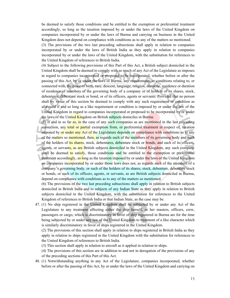be deemed to satisfy those conditions and be entitled to the exemption or preferential treatment accordingly, so long as the taxation imposed by or under the laws of the United Kingdom on companies incorporated by or under the laws of Burma and carrying on business in the United Kingdom does not depend on compliance with conditions as to any of the matters so mentioned.

(3) The provisions of the two last preceding subsections shall apply in relation to companies incorporated by or under the laws of British India as they apply in relation to companies incorporated by or under the laws of the United Kingdom, with the substitution for references to the United Kingdom of references to British India.

(4) Subject to the following provisions of this Part of this Act, a British subject domiciled in the United Kingdom shall be deemed to comply with so much of any Act of the Legislature as imposes in regard to companies incorporated or proposed to be incorporated, whether before or after the passing of this Act, by or under the laws of Burma, any requirements or conditions relating to, or connected with, the place of birth, race, descent, language, religion, domicile, residence or duration of residence of members of the governing body of a company or of holders of its shares, stock, debentures, debenture stock or bond, or of its officers, agents or servants: Provided that no person shall by virtue of this section be deemed to comply with any such requirement or condition as aforesaid if and so long as a like requirement or condition is imposed by or under the law of the United Kingdom in regard to companies incorporated or proposed to be incorporated by or under the laws of the Untied Kingdom on British subjects domiciles in Burma.

(5) If and in so far as, in the case of any such companies as are mentioned in the last preceding subsection, any total or partial exemption from, or preferential treatment in respect of, taxation imposed by or under any Act of the Legislature depends on compliance with conditions as to any of the matters so mentioned, then, as regards such of the members of its governing body and such of the holders of *its shares*, stock, debentures, debenture stock or bonds, and such of its officers, agents, or servants, as are British subjects domiciled in the United Kingdom, any such company shall be deemed to satisfy, those conditions and be entitled to the exemption or preferential treatment accordingly, so long as the taxation imposed by or under the laws of the United Kingdom on companies incorporated by or under those laws does not, as regards such of the members of a company's governing body, or such of the holders of its shares, stock, debenture, debenture stock or bonds, or such of its officers, agents, or servants, as are British subjects domiciled in Burma, depend on compliance with conditions as to any of the matters so mentioned.

(6) The provisions of the two last preceding subsections shall apply in relation to British subjects domiciled in British India and to subjects of any Indian State as they apply in relation to British subjects domiciled in the United Kingdom, with the substitution for references to the United Kingdom of references to British India or that Indian State, as the case may be.

47. (1) No ship registered in the United Kingdom shall be subjected by or under any Act of the Legislature to any treatment affecting either the ship herself, or her masters, officers, crew, passengers or cargo, which is discriminatory in favor of ship registered in Burma are for the time being subjected by or under any law of the United Kingdom to treatment of a like character which is similarly discriminatory in favor of ships registered in the United Kingdom.

(2) The provisions of this section shall apply in relation to ships registered in British India as they apply in relation to ships registered in the United Kingdom with the substitution for references to the United Kingdom of references to British India.

(3) This section shall apply in relation to aircraft as it applied in relation to ships.

(4) The provisions of this section are in addition to and not in derogation of the provisions of any of the preceding sections of this Part of this Act.

48. (1) Notwithstanding anything in any Act of the Legislature, companies incorporated, whether before or after the passing of this Act, by or under the laws of the United Kingdom and carrying on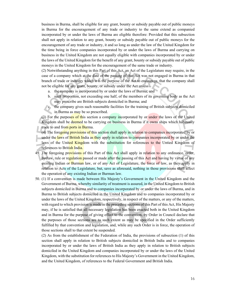business in Burma, shall be eligible for any grant, bounty or subsidy payable out of public moneys in Burma for the encouragement of any trade or industry to the same extend as companied incorporated by or under the laws of Burma are eligible therefore: Provided that this subsection shall not apply in relation to any grant, bounty or subsidy payable out of public moneys for the encouragement of any trade or industry, it and so long as under the law of the United Kingdom for the time being in force companies incorporated by or under the laws of Burma and carrying on business in the United Kingdom are not equally eligible with companies incorporated by or under the laws of the United Kingdom for the benefit of any grant, bounty or subsidy payable out of public moneys in the United Kingdom for the encouragement of the same trade or industry.

(2) Notwithstanding anything in this Part of this Act, an Act of the Legislature may require, in the case of a company which at the date of the passing of that Act was not engaged in Burma in that branch of trade or industry which it is the purpose of the Act to encourage, that the company shall not be eligible for any grant, bounty, or subsidy under the Act unless –

- a. the company is incorporated by or under the laws of Burma; and
- b. such proportion, not exceeding one half, of the members of its governing body as the Act may prescribe are British subjects domiciled in Burma; and
- c. the company gives such reasonable facilities for the training of British subjects domiciled in Burma as may be so prescribed.

(3) For the purposes of this section a company incorporated by or under the laws of the United Kingdom shall be deemed to be carrying on business in Burma if it owns ships which habitually trade to and from ports in Burma.

(4) The foregoing provisions of this section shall apply in relation to companies incorporated by or under the laws of British India as they apply in relation to companies incorporated by or under the laws of the United Kingdom with the substitution for references to the Untied Kingdom of references to British India.

- 49. The foregoing provisions of this Part of this Act shall apply in relation to any ordinance, order, byelaw, rule or regulation passed or made after the passing of this Act and having by virtue of any existing Indian or Burman law, or of any Act of Legislature, the force of law, as they apply in relation to Acts of the Legislature, but, save as aforesaid, nothing in those provisions shall affect the operation of any existing Indian or Burman law.
- 50. (1) If a convention is made between His Majesty's Government in the United Kingdom and the Government of Burma, whereby similarity of treatment is assured, in the United Kingdom to British subjects domiciled in Burma and to companies incorporated by or under the laws of Burma, and in Burma to British subjects domiciled in the United Kingdom and to companies incorporated by or under the laws of the United Kingdom, respectively, in respect of the matters, or any of the matters, with regard to which provision is made in the preceding sections of this Part of this Act, His Majesty may, if he is satisfied that all necessary legislation has been enacted both in the United Kingdom and in Burma for the purpose of giving effect to the convention, by Order in Council declare that the purposes of those sections are to such extent as may be specified in the Order sufficiently fulfilled by that convention and legislation, and, while any such Order is in force, the operation of those sections shall to that extent be suspended.

(2) As from the establishment of the Federation of India, the provisions of subsection (1) of this section shall apply in relation to British subjects domiciled in British India and to companies incorporated by or under the laws of British India as they apply in relation to British subjects domiciled in the United Kingdom and companies incorporated by or under the laws of the United Kingdom, with the substitution for references to His Majesty's Government in the United Kingdom, and the United Kingdom, of references to the Federal Government and British India.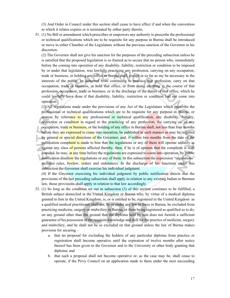(3) And Order in Council under this section shall cease to have effect if and when the convention to which it relates expires or is terminated by either party thereto.

51. (1) No Bill or amendment which prescribes or empowers any authority to prescribe the professional or technical qualifications which are to be requisite for any purpose in Burma shall be introduced or move in either Chamber of the Legislature without the previous sanction of the Governor in his discretion.

(2) The Governor shall not give his sanction for the purposes of the preceding subsection unless he is satisfied that the proposed legislation is so framed as to secure that no person who, immediately before the coming into operation of any disability, liability, restriction or condition to be imposed by or under that legislation, was lawfully practicing any profession, carrying on any occupation, trade or business, or holding any office in Burma shall, except in so far as my be necessary in the interests of the public, be debarred from continuing to practice that profession, carry on that occupation, trade or business, or hold that office, or from doing anything in the course of that profession, occupation, trade or business, or in the discharge of the duties of that office, which he could lawfully have done if that disability, liability, restriction or condition had not come into operation.

(3) All regulations made under the provisions of any Act of the Legislature which prescribe the professional or technical qualifications which are to be requisite for any purpose in Burma, or impose by reference to any professional or technical qualification, any disability, liability, restriction or condition in regard to the practicing of any profession, the carrying on of any occupation, trade or business, or the holding of any office in Burma shall, not less than four months before they are expressed to come into operation, be published in such manner as may be required by general or special directions of the Governor, and, if within two months from the date of the publication complaint is made to him that the regulations or any of them will operate unfairly as against any class of persons affected thereby, then, if he is of opinion that the complaint is well founded, he may, at any time before the regulations are expressed to come into operation, by public notification disallow the regulations or any of them. In this subsection the expression "regulations" includes rules, byelaw, orders and ordinances. In the discharge of his functions under this subsection the Governor shall exercise his individual judgment.

(4) If the Governor exercising his individual judgment by public notification directs that the provisions of the last preceding subsection shall apply in relation to any existing Indian or Burman law, those provisions shall apply in relation to that law accordingly.

- 52. (1) So long as the condition set out in subsection (3) of this section continues to be fulfilled, a British subject domiciled in the United Kingdom or Burma who, by virtue of a medical diploma granted to him in the United Kingdom, is, or is entitled to be, registered in the United Kingdom as a qualified medical practitioner shall not, by or under any law in force in Burma, be excluded from practicing medicine, surgery or midwifery in Burma, or from being registered as qualified so to do, on any ground other than the ground that the diploma held by him does not furnish a sufficient guarantee of his possession of the requisite knowledge and skill for the practice of medicine, surgery and midwifery, and he shall not be so excluded on that ground unless the law of Burma makes provision for securing –
	- a. that no proposal for excluding the holders of any particular diploma from practice or registration shall become operative until the expiration of twelve months after notice thereof has been given to the Governor and to the University or other body granting that diploma; and
	- b. that such a proposal shall not become operative or, as the case may be, shall cease to operate, if the Privy Council on an application made to them under the next succeeding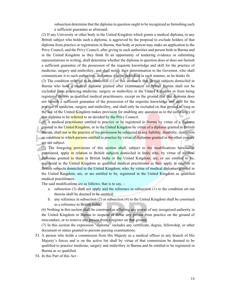subsection determine that the diploma in question ought to be recognized as furnishing such a sufficient guarantee as aforesaid.

(2) If any University or other body in the United Kingdom which grants a medical diploma, or any British subject who holds such a diploma, is aggrieved by the proposal to exclude holders of that diploma from practice or registration in Burma, that body or person may make an application to the Privy Council, and the Privy Council, after giving to such authorities and person both in Burma and in the United Kingdom as they think fit an opportunity of tendering evidence or submitting representations in writing, shall determine whether the diploma in question does or does not furnish a sufficient guarantee of the possession of the requisite knowledge and skill for the practice of medicine, surgery and midwifery, and shall notify their determination to the Governor, who shall communicate it to such authorities, and cause it to be published in such manner, as he thinks fit.

(3) The condition referred to in subsection (1) of this section is that British subjects domiciled in Burma who hold a medical diploma granted after examination in British Burma shall not be excluded from practicing medicine, surgery or midwifery in the United Kingdom or from being registered therein as qualified medical practitioners, except on the ground that that diploma does not furnish a sufficient guarantee of the possession of the requisite knowledge and skill for the practice of medicine, surgery and midwifery, and shall only be excluded on that ground so long as the law of the United Kingdom makes provision for enabling any question as to the sufficiency of that diploma to be referred to an decided by the Privy Council.

(4) A medical practitioner entitled to practice or be registered in Burma by virtue of a diploma granted in the United Kingdom, or in the United Kingdom by virtue of a diploma granted in British Burma, shall not in the practice of his profession be subjected to any liability, disability, restriction or condition to which persons entitled to practice by virtue of diplomas granted in the other country are not subject.

 $(5)$  The foregoing provisions of this section shall, subject to the modifications hereinafter mentioned, apply in relation to British subjects domiciled in India who, by virtue of medical diplomas granted to them in British India or the United Kingdom, are, or are entitled to be, registered in the United Kingdom as qualified medical practitioner as they apply in relation to British subjects domiciled in the United Kingdom, who, by virtue of medical diplomas granted in the United Kingdom, are, or are entitled to be, registered in the United Kingdom as qualified medical practitioners.

The said modifications are as follows, that is to say, –

- a. subsection (3) shall not apply and the reference in subsection (1) to the condition set out therein shall be deemed to be omitted;
- b. any reference in subsection (2) or subsection (4) to the United Kingdom shall be construed as a reference to British India.

(6) Nothing in this section shall be construed as affecting any power of any recognized authority in the United Kingdom or Burma to suspend or debar any person from practice on the ground of misconduct, or to remove any person from a register on that ground.

(7) In this section the expression "diploma" includes any certificate, degree, fellowship, or other document or status granted to persons passing examinations.

53. A person who holds a commission from His Majesty as a medical officer in any branch of His Majesty's forces and is on the active list shall by virtue of that commission be deemed to be qualified to practice medicine, surgery and midwifery in Burma and be entitled to be registered in Burma as so qualified.

54. In this Part of this Act –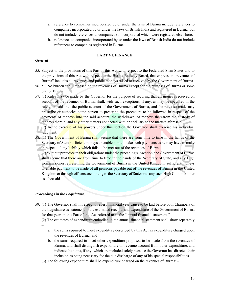- a. reference to companies incorporated by or under the laws of Burma include references to companies incorporated by or under the laws of British India and registered in Burma, but do not include references to companies so incorporated which were registered elsewhere;
- b. references to companies incorporated by or under the laws of British India do not include references to companies registered in Burma.

#### **PART VI. FINANCE**

#### *General*

- 55. Subject to the provisions of this Part of this Act with respect to the Federated Shan States and to the provisions of this Act with respect to the Burma Railway Board, that expression "revenues of Burma" includes all revenues and public moneys raised or received by the Government of Burma.
- 56. 56. No burden shall imposed on the revenues of Burma except for the purposes of Burma or some part of Burma.
- 57. (1) Rules may be made by the Governor for the purpose of securing that all moneys received on account of the revenues of Burma shall, with such exceptions, if any, as may be specified in the rules, be paid into the public account of the Government of Burma, and the rules so made may prescribe or authorize some person to prescribe the procedure to be followed in respect of the payments of moneys into the said account, the withdrawal of moneys therefrom the custody of moneys therein, and any other matters connected with or ancillary to the matters aforesaid.
- (2) In the exercise of his powers under this section the Governor shall exercise his individual judgment.
- 58. (1) The Government of Burma shall secure that there are from time to time in the hands of the Secretary of State sufficient moneys to enable him to make such payments as he may have to make in respect of any liability which falls to be met out of the revenues of Burma.

(2) Without prejudice to their obligations under the preceding subsection, the Government of Burma shall secure that there are from time to time in the hands of the Secretary of State, and any High Commissioner representing the Government of Burma in the United Kingdom, sufficient moneys to enable payment to be made of all pensions payable out of the revenues of Burma in the United Kingdom or through officers accounting to the Secretary of State or to any such High Commissioner as aforesaid.

#### *Proceedings in the Legislature.*

- 59. (1) The Governor shall in respect of every financial year cause to be laid before both Chambers of the Legislature as statement of the estimated receipts and expenditure of the Government of Burma for that year, in this Part of this Act referred to as the "annual financial statement."
	- (2) The estimates of expenditure embodied in the annual financial statement shall show separately –
		- a. the sums required to meet expenditure described by this Act as expenditure charged upon the revenues of Burma; and
		- b. the sums required to meet other expenditure proposed to be made from the revenues of Burma, and shall distinguish expenditure on revenue account from other expenditure, and indicate the sums, if any, which are included solely because the Governor has directed their inclusion as being necessary for the due discharge of any of his special responsibilities.
	- (3) The following expenditure shall be expenditure charged on the revenues of Burma: –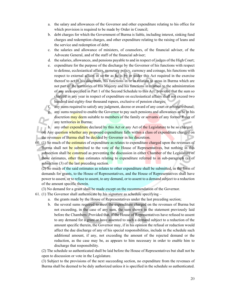- a. the salary and allowances of the Governor and other expenditure relating to his office for which provision is required to be made by Order in Council;
- b. debt charges for which the Government of Burma is liable, including interest, sinking fund charges and redemption charges, and other expenditure relating to the raising of leans and the service and redemption of debt;
- c. the salaries and allowance of ministers, of counselors, of the financial adviser, of the Advocate General, and of the staff of the financial adviser;
- d. the salaries, allowances, and pensions payable to and in respect of judges of the High Court;
- e. expenditure for the purpose of the discharge by the Governor of his functions with respect to defense, ecclesiastical affairs, monetary policy, currency and coinage, his functions with respect to external affairs in so far as he is by or under this Act required in the exercise thereof to act in his discretion, his functions in or in relation to areas in Burma which are not part of the territories of His Majesty and his functions in relation to the administration of any area specified in Part 1 of the Second Schedule to this Act: provided that the sum so charged in any year in respect of expenditure on ecclesiastical affairs shall not exceed two hundred and eighty-four thousand rupees, exclusive of pension charges;

any sums required to satisfy any judgment, decree or award of any court or arbitral tribunal;

any sums required to enable the Governor to pay such pensions and allowances as he in his discretion may deem suitable to members of the family or servants of any former Ruler of any territories in Burma;

h. any other expenditure declared by this Act or any Act of the Legislature to be so charged.

(4) Any question whether any proposed expenditure falls within a class of expenditure charged on the revenues of Burma shall be decided by Governor in his discretion.

60. (1) So much of the estimates of expenditure as relates to expenditure charged upon the revenues of Burma shall not be submitted to the vote of the House of Representatives, but nothing in this subsection shall be construed as preventing the discussion in either Chamber of the Legislature of those estimates, other than estimates relating to expenditure referred to in sub-paragraph (a) of subsection  $(3)$  of the last preceding section.

(2) So much of the said estimates as relates to other expenditure shall be submitted, in the form of demands for grants, to the House of Representatives, and the House of Representatives shall have power to assent, or to refuse to assent, to any demand, or to assent to a demand subject to a reduction of the amount specific therein.

(3) No demand for a grant shall be made except on the recommendation of the Governor.

61. (1) The Governor shall authenticate by his signature as schedule specifying –

- a. the grants made by the House of Representatives under the last preceding section;
- b. the several sums required to meet the expenditure charged on the revenues of Burma but not exceeding, in the case of any sum, the sum shown in the statement previously laid before the Chambers: Provided that, if the House of Representatives have refused to assent to any demand for a grant or have assented to such a demand subject to a reduction of the amount specific therein, the Governor may, if in his opinion the refusal or reduction would affect the due discharge of any of his special responsibilities, include in the schedule such additional amount, if any, not exceeding the amount of the rejected demand or the reduction, as the case may be, as appears to him necessary in order to enable him to discharge that responsibility.

(2) The schedule so authenticated shall be laid before the House of Representatives but shall not be open to discussion or vote in the Legislature.

(3) Subject to the provisions of the next succeeding section, no expenditure from the revenues of Burma shall be deemed to be duly authorized unless it is specified in the schedule so authenticated.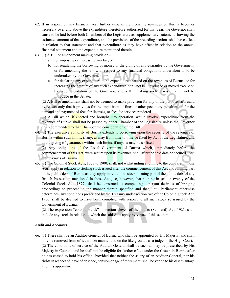- 62. If in respect of any financial year further expenditure from the revenues of Burma becomes necessary over and above the expenditure theretofore authorized for that year, the Governor shall cause to be laid before both Chambers of the Legislature as supplementary statement showing the estimated amount of that expenditure, and the provisions of the preceding sections shall have effect in relation to that statement and that expenditure as they have effect in relation to the annual financial statement and the expenditure mentioned therein.
- 63. (1) A Bill or amendment making provision
	- a. for imposing or increasing any tax; or
	- b. for regulating the borrowing of money or the giving of any guarantee by the Government, or for amending the law with respect to any financial obligations undertaken or to be undertaken by the Government; or
	- c. for declaring any expenditure to be expenditure charged on the revenues of Burma, or for increasing the amount of any such expenditure, shall not be introduced or moved except on the recommendation of the Governor, and a Bill making such provision shall not be introduce in the Senate.

(2) A Bill or amendment shall not be deemed to make provision for any of the purposes aforesaid by reason only that it provides for the imposition of fines or other pecuniary penalties, or for the demand and payment of fees for licenses, or fees for services rendered.

(3) A Bill which, if enacted and brought into operation, would involve expenditure from the revenues of Burma shall not be passed by either Chamber of the Legislature unless the Governor has recommended to that Chamber the consideration of the Bill.

- 64. (1) The executive authority of Burma extends to borrowing upon the security of the revenues of Burma within such limits, if any, as may from time to time be fixed by Act of the Legislature, and to the giving of guarantees within such limits, if any, as may be so fixed.
- (2) Any obligations of the Local Government of Burma which, immediately before the commencement of this Act, were secure upon its revenues, shall after the said date be secured upon the revenues of Burma.
- 65. (1) The Colonial Stock Acts, 1877 to 1900, shall, not withstanding anything to the contrary in those Acts, apply in relation to sterling stock issued after the commencement of this Act and forming part of the public debt of Burma as they apply in relation to stock forming part of the public debt of any British Possession mentioned in those Acts, so, however, that nothing in section twenty of the Colonial Stock Act, 1877, shall be construed as compelling a person desirous of bringing proceedings to proceed in the manner therein specified and that, until Parliament otherwise determines, any conditions prescribed by the Treasury under section two of the Colonial Stock Act, 1900, shall be deemed to have been complied with respect to all such stock so issued by the Government of Burma.

(2) The expression "colonial stock" in section eleven of the Trusts (Scotland) Act, 1921, shall include any stock in relation to which the said Acts apply by virtue of this section.

#### *Audit and Accounts.*

66. (1) There shall be an Auditor-General of Burma who shall be appointed by His Majesty, and shall only be removed from office in like manner and on the like grounds as a judge of the High Court. (2) The conditions of service of the Auditor-General shall be such as may be prescribed by His Majesty in Council, and he shall not be eligible for further office under the Crown in Burma after he has ceased to hold his office: Provided that neither the salary of an Auditor-General, nor his rights in respect of leave of absence, pension or age of retirement, shall be varied to his disadvantage after his appointment.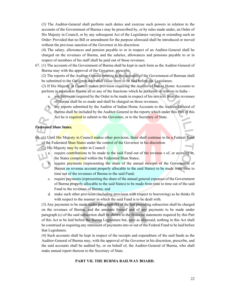(3) The Auditor-General shall perform such duties and exercise such powers in relation to the accounts of the Government of Burma s may be prescribed by, or by rules made under, an Order of His Majesty in Council, or by any subsequent Act of the Legislature varying or extending such an Order: Provided that no Bill or amendment for the purpose aforesaid shall be introduced or moved without the previous sanction of the Governor in his discretion.

(4) The salary, allowances and pension payable to or in respect of an Auditor-General shall be charged on the revenues of Burma, and the salaries, allowances and pensions payable to or in respect of members of his staff shall be paid out of those revenues.

67. (1) The accounts of the Government of Burma shall be kept in such form as the Auditor-General of Burma may with the approval of the Governor, prescribe.

(2) The reports of the Auditor-General relating to the accounts of the Government of Burman shall be submitted to the Governor who shall cause them to be laid before the Legislature.

(3) If His Majesty in Council makes provision requiring the Auditor of Indian Home Accounts to perform in relation to Burma all or any of the functions which he performs in relation in India –

a. any payments required by the Order to be made in respect of his services from the revenues of Burma shall be so made and shall be charged on those revenues;

b. any reports submitted by the Auditor of Indian Home Accounts to the Auditor-General of Burma shall be included by the Auditor-General in the reports which under this Part of this Act he is required to submit to the Governor, or to the Secretary of State.

### *Federated Shan States.*

68. (1) Until His Majesty in Council makes other provision, there shall continue to be a Federal Fund of the Federated Shan States under the control of the Governor in his discretion.

(2) His Majesty may by order in Council  $-$ 

- a. require contributions to be made to the said Fund out of the revenue s of, or accruing in, the States comprised within the Federated Shan States;
- b. require payments (representing the share of the annual receipts of the Government of Burma on revenue account properly allocable to the said States) to be made from time to time out of the revenues of Burma to the said Fund;
- c. require payments (representing the share of the annual general expenses of the Government of Burma properly allocable to the said States) to be made from time to time out of the said Fund to the revenues of Burma; and
- d. make such other provision (including provision with respect to borrowing) as he thinks fit with respect to the manner in which the said Fund is to be dealt with.

(3) Any payments to be made under paragraph (b) of the last preceding subsection shall be charged on the revenues of Burma, and the amounts thereof and of any payments to be made under paragraph (c) of the said subsection shall be shown in the financial statements required by this Part of this Act to be laid before the Burma Legislature but, save as aforesaid, nothing in this Act shall be construed as requiring any statement of payments into or out of the Federal Fund to be laid before that Legislature.

(4) Such accounts shall be kept in respect of the receipts and expenditure of the said funds as the Auditor-General of Burma may, with the approval of the Governor in his discretion, prescribe, and the said accounts shall be audited by, or on behalf of, the Auditor-General of Burma, who shall make annual report thereon to the Secretary of State.

#### **PART VII. THE BURMA RAILWAY BOARD.**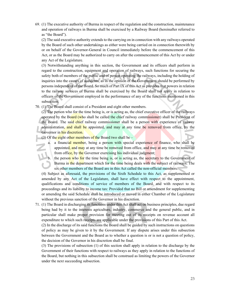69. (1) The executive authority of Burma in respect of the regulation and the construction, maintenance and operation of railways in Burma shall be exercised by a Railway Board (hereinafter referred to as "the Board").

(2) The said executive authority extends to the carrying on in connection with any railways operated by the Board of such other undertakings as either were being carried on in connection therewith by or on behalf of the Governor-General in Council immediately before the commencement of this Act, or as the Board may be authorized to carry on after the commencement of this Act by or under any Act of the Legislature.

(3) Notwithstanding anything in this section, the Government and its officers shall perform in regard to the construction, equipment and operation of railways, such functions for securing the safety both of members of the public and of person operating the railways, including the holding of inquiries into the causes of accidents, as in the opinion of the Government should be performed by persons independent of the Board. So much of Part IX of this Act as provides that powers in relation to the railway services of Burma shall be exercised by the Board shall not apply in relation to officers of the Government employed in the performance of any of the functions mentioned in this subsection.

70. (1) The Board shall consist of a President and eight other members.

(2) The person who for the time being is, or is acting as, the chief executive officer of the railways operated by the Board (who shall be called the chief railway commissioner) shall be President of the Board. The said chief railway commissioner shall be a person with experience of railway administration, and shall be appointed, and may at any time be removed from office, by the Governor in his discretion.

- (3) Of the eight other members of the Board two shall be  $$ 
	- a. a financial member, being a person with special experience of finance, who shall be appointed, and may at any time be removed from office, and may at any time be removed from office, by the Governor exercising his individual judgment;
	- b. the person who for the time being is, or is acting as, the secretary to the Government of Burma in the department which for the time being deals with the subject of railways. The six other members of the Board are in this Act called the non-official members.

(4) Subject as aforesaid, the provisions of the Sixth Schedule to this Act, as supplemented or amended by any Act of the Legislature, shall have effect with respect to the appointment, qualifications and conditions of service of members of the Board, and with respect to its proceedings and its liability to income tax: Provided that no Bill or amendment for supplementing or amending the said Schedule shall be introduced or moved in either Chamber of the Legislature without the previous sanction of the Governor in his discretion.

71. (1) The Board in discharging its functions under this Act shall act on business principles, due regard being had by it to the interests agriculture, industry, commerce and the general public, and in particular shall make proper provision for meeting out of its receipts on revenue account all expenditure to which such receipts are applicable under the provisions of this Part of this Act.

(2) In the discharge of its said functions the Board shall be guided by such instructions on questions of policy as may be given to it by the Government. If any dispute arises under this subsection between the Government and the Board as to whether a question is or is not a question of policy, the decision of the Governor in his discretion shall be final.

(3) The provisions of subsection (1) of this section shall apply in relation to the discharge by the Government of their functions with respect to railways as they apply in relation to the functions of the Board, but nothing in this subsection shall be construed as limiting the powers of the Governor under the next succeeding subsection.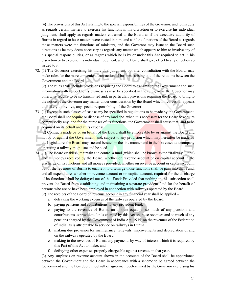(4) The provisions of this Act relating to the special responsibilities of the Governor, and to his duty as regards certain matters to exercise his functions in his discretion or to exercise his individual judgment, shall apply as regards matters entrusted to the Board as if the executive authority of Burma in regard to hose matters were vested in him, and as if the functions of the Board as regards those matters were the functions of ministers, and the Governor may issue to the Board such directions as he may deem necessary as regards any matter which appears to him to involve any of his special responsibilities, or as regards which he is by or under this Act required to act in his discretion or to exercise his individual judgment, and the Board shall give effect to any direction so issued to it.

72. (1) The Governor exercising his individual judgment, but after consultation with the Board, may make rules for the more convenient transaction of business arising out of the relations between the Government and the Board.

(2) The rules shall include provisions requiring the Board to transmit to the Government and such information with respect to its business as may be specified in the rules, or as the Governor may otherwise require to be so transmitted and, in particular, provisions requiring the Board to bring to the notice of the Governor any matter under consideration by the Board which involves, or appears to it likely to involve, any special responsibility of the Governor.

73. (1) Except in such classes of case as my be specified in regulations to be made by the Government, the Board shall not **acquire** or dispose of any land and, when it is necessary for the Board to acquire compulsorily any land for the purposes of its functions, the Government shall cause that land to be acquired on its behalf and at its expense.

(2) Contracts made by or on behalf of the Board shall be enforceable by or against the Board and not by or against the Government, and, subject to any provision which may hereafter be made by the Legislature, the Board may sue and be sued in the like manner and in the like cases as a company operating a railway might sue and be sued.

74. (1) The Board establish, maintain and control a fund (which shall be known as the "Railway Fund") and all moneys received by the Board, whether on revenue account or on capital account in the discharge of its functions and all moneys provided, whether on revenue account or capital account, out of the revenues of Burma to enable it to discharge those functions shall be pain into that Fund, and all expenditure, whether on revenue account or on capital account, required for the discharge of its functions shall be defrayed out of that Fund: Provided that nothing in this subsection shall prevent the Board from establishing and maintaining a separate provident fund for the benefit of persons who are or have been employed in connection with railways operated by the Board.

(2) The receipts of the Board on revenue account in any financial year shall be applied –

- a. defraying the working expenses of the railways operated by the Board;
- b. paying pensions and contributions to any provident fund;
- c. paying to the revenues of Burma an amount equal to so much of any pensions and contributions to provident funds charged by this Act on those revenues and so much of any pensions charged by the Government of India Act, 1935, on the revenues of the Federation of India, as is attributable to service on railways in Burma;
- d. making due provision for maintenance, renewals, improvements and depreciation of and on the railways operated by the Board;
- e. making to the revenues of Burma any payments by way of interest which it is required by this Part of this Act to make; and
- f. defraying other expenses properly chargeable against revenue in that year.

(3) Any surpluses on revenue account shown in the accounts of the Board shall be apportioned between the Government and the Board in accordance with a scheme to be agreed between the Government and the Board, or, in default of agreement, determined by the Governor exercising his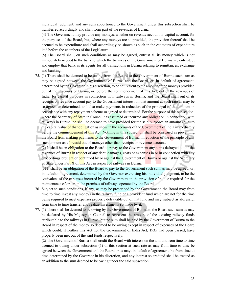individual judgment, and any sum apportioned to the Government under this subsection shall be transferred accordingly and shall form part of the revenues of Burma.

(4) The Government may provide any moneys, whether on revenue account or capital account, for the purposes of the Board, but, where any moneys are so provided, the provision thereof shall be deemed to be expenditure and shall accordingly be shown as such in the estimates of expenditure laid before the chambers of the Legislature.

(5) The Board shall, on such conditions as may be agreed, entrust all its money which is not immediately needed to the bank to which the balances of the Government of Burma are entrusted, and employ that bank as its agents for all transactions in Burma relating to remittances, exchange and banking.

- 75. (1) There shall be deemed to be owing from the Board to the Government of Burma such sum as may be agreed between the Government of Burma and the Board, or, in default of agreement, determined by the Governor in his discretion, to be equivalent to the amount of the moneys provided out of the revenues of Burma, or, before the commencement of this Act, out of the revenues of India, for capital purposes in connection with railways in Burma, and the Board shall out of its receipts on revenue account pay to the Government interest on that amount at such rate as may be so agreed or determined, and also make payments in reduction of the principal of that amount in accordance with any repayment scheme so agreed or determined. For the purpose of this subsection, where the Secretary of State in Council has assumed or incurred any obligation in connection with railways in Burma, he shall be deemed to have provided for the said purposes an amount equal to the capital value of that obligation as show in the accounts of the Government of India immediately before the commencement of this Act. Nothing in this subsection shall be construed as preventing the Board from making payments to the Government of Burma in reduction of the principle of any such amount as aforesaid out of moneys other than receipts on revenue account.
	- (2) It shall be an obligation to the Board to repay to the Government any sums defrayed out of the revenues of Burma in respect of any debt, damages, costs or expenses in or in connection with any proceedings brought or continued by or against the Government of Burma or against the Secretary of State under Part  $\overline{X}$  of this Act in respect of railways in Burma.

(3) It shall be an obligation of the Board to pay to the Government such sum as may be agreed, or, in default of agreement, determined by the Governor exercising his individual judgment, to be the equivalent of the expenses incurred by the Government in the provision of police required for the maintenance of order on the premises of railways operated by the Board.

- 76. Subject to such conditions, if any, as may be prescribed by the Government, the Board may from time to time invest any moneys in the railway fund or a provident fund which are not for the time being required to meet expenses properly defrayable out of that fund and may, subject as aforesaid, from time to time transfer and realize investments so made by it.
- 77. (1) There shall be deemed to be owing by the Government of Burma to the Board such sum as may be declared by His Majesty in Council to represent the amount of the existing railway funds attributable to the railways in Burma, but no sum shall be paid by the Government of Burma to the Board in respect of the money so deemed to be owing except in respect of expenses of the Board which could, if neither this Act nor the Government of India Act, 1935 had been passed, have properly been met out of the said funds respectively.

(2) The Government of Burma shall credit the Board with interest on the amount from time to time deemed to owing under subsection (1) of this section at such rate as may from time to time be agreed between the Government and the Board or as may, in default of agreement, be from time to time determined by the Governor in his discretion, and any interest so credited shall be treated as an addition to the sum deemed to be owing under the said subsection.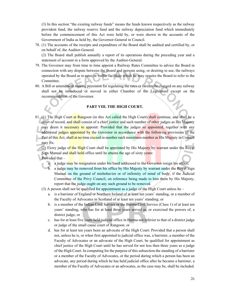(3) In this section "the existing railway funds" means the funds known respectively as the railway provident fund, the railway reserve fund and the railway depreciation fund which immediately before the commencement of this Act were held by, or were shown in the accounts of the Government of India as held by, the Governor-General in Council.

78. (1) The accounts of the receipts and expenditure of the Board shall be audited and certified by, or on behalf of, the Auditor-General.

(2) The Board shall publish annually a report of its operations during the preceding year and a statement of account in a form approved by the Auditor-General.

- 79. The Governor may from time to time appoint a Railway Rates Committee to advice the Board in connection with any dispute between the Board and persons using, or desiring to use, the railways operated by the Board as to rates or traffic facilities which he may require the Board to refer to the Committee.
- 80. A Bill or amendment making provision for regulating the rates or fares to be charged on any railway shall not be introduced or moved in either Chamber of the Legislature except on the recommendation of the Governor.

#### **PART VIII. THE HIGH COURT.**

- 81. (1) The High Court at Rangoon (in this Act called the High Court) shall continue, and shall be a court of record, and shall consist of a chief justice and such number of other judges as His Majesty may deem it necessary to appoint: Provided that the judges so appointed, together with any additional judges appointed by the Governor in accordance with the following provisions of the Part of this Act, shall at no time exceed in number such maximum number as His Majesty in Council may fix.
	- (2) Every judge of the High Court shall be appointed by His Majesty by warrant under the Royal Sign Manual and shall hold office until he attains the age of sixty years: Provided that –
		- a. a judge may be resignation under his hand addressed to the Governor resign his office;
		- b. a judge may be removed from his office by His Majesty by warrant under the Royal Sign Manual on the ground of misbehavior or of infirmity of mind of body, if the Judicial Committee of the Privy Council, on reference being made to him them by His Majesty, report that the judge ought on any such ground to be removed.

(3) A person shall not be qualified for appointment as a judge of the High Court unless he –

- a. is a barrister of England or Northern Ireland of at least ten years' standing, or a member of the Faculty of Advocates in Scotland of at least ten years' standing; or
- b. is a member of the Indian Civil Service or the Burma Civil Service (Class 1) of at least ten years' standing, who has for at least three years served as, or exercised the powers of, a district judge; or
- c. has for at least five years held judicial office in Burma not inferior to that of a district judge or judge of the small cause court of Rangoon; or
- d. has for at least ten years been an advocate of the High Court: Provided that a person shall not, unless he is, or when first appointed to judicial office was, a barrister, a member of the Faculty of Advocates or an advocate of the High Court, be qualified for appointment as chief justice of the High Court until he has served for not less then three years as a judge of the High Court. In computing for the purpose of this subsection the standing of a barrister or a member of the Faculty of Advocates, or the period during which a person has been an advocate, any period during which he has held judicial office after he became a barrister, a member of the Faculty of Advocates or an advocates, as the case may be, shall be included.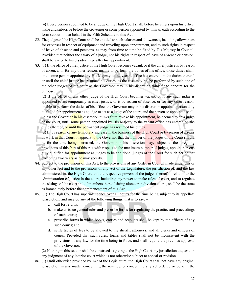(4) Every person appointed to be a judge of the High Court shall, before he enters upon his office, make and subscribe before the Governor or some person appointed by him an oath according to the form set out in that behalf in the Fifth Schedule to this Act.

- 82. The judges of the High Court shall be entitled to such salaries and allowances, including allowances for expenses in respect of equipment and traveling upon appointment, and to such rights in respect of leave of absence and pensions, as may from time to time be fixed by His Majesty in Council: Provided that neither the salary of a judge, nor his rights in respect of leave of absence or pension, shall be varied to his disadvantage after his appointment.
- 83. (1) If the office of chief justice of the High Court becomes vacant, or if the chief justice is by reason of absence, or for any other reason, unable to perform the duties of his office, those duties shall, until some person appointed by His Majesty to the vacant office has entered on the duties thereof, or until the chief justice has resumed his duties, as the case may be, be performed by such one of the other judges of the court as the Governor may in his discretion think fit to appoint for the purpose.

(2) If the office of any other judge of the High Court becomes vacant, or if any such judge is appointed to act temporarily as chief justice, or is by reason of absence, or for any other reason, unable to perform the duties of his office, the Governor may in his discretion appoint a person duly qualified for appointment as a judge to act as a judge of the court, and the person so appointed shall, unless the Governor in his discretion thinks fit to revoke his appointment, be deemed to be a judge of the court, until some person appointed by His Majesty to the vacant office has entered on the duties thereof, or until the permanent judge has resumed his duties.

- (3) If, by reason of any temporary increase in the business of the High Court or by reason of arrears of work in that Court, it appears to the Governor that the number of the judges of the Court should be for the time being increased, the Governor in his discretion may, subject to the foregoing provisions of this **Part of this** Act with respect to the maximum number of judges, appoint persons duly qualified for appointment as judges to be additional judges of the Court for such period not exceeding two years as he may specify.
- 84. Subject to the provisions of this Act, to the provisions of any Order in Council made under this or any other Act and to the provisions of any Act of the Legislature, the jurisdiction of, and the law administered in, the High Court and the respective powers of the judges thereof in relation to the administration of justice in the court, including any power to make rules of court, and to regulate the sittings of the court and of members thereof sitting alone or in division courts, shall be the same as immediately before the commencement of this Act.
- 85. (1) The High Court has superintendence over all courts for the time being subject to its appellate jurisdiction, and may do any of the following things, that is to say:  $$ 
	- a. call for returns;
	- b. make an issue general rules and prescribe forms for regulating the practice and proceedings of such courts;
	- c. prescribe forms in which books, entries and accounts shall be kept by the officers of any such courts; and
	- d. settle tables of fees to be allowed to the sheriff, attorneys, and all clerks and officers of courts: Provided that such rules, forms and tables shall not be inconsistent with the provisions of any law for the time being in force, and shall require the previous approval of the Governor.

(2) Nothing in this section shall be construed as giving to the High Court any jurisdiction to question any judgment of any interior court which is not otherwise subject to appeal or revision.

86. (1) Until otherwise provided by Act of the Legislature, the High Court shall not have any original jurisdiction in any matter concerning the revenue, or concerning any act ordered or done in the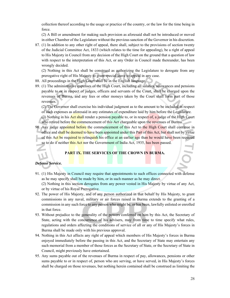collection thereof according to the usage or practice of the country, or the law for the time being in force.

(2) A Bill or amendment for making such provision as aforesaid shall not be introduced or moved in either Chamber of the Legislature without the previous sanction of the Governor in his discretion.

87. (1) In addition to any other right of appeal, there shall, subject to the provisions of section twenty of the Judicial Committee Act, 1833 (which relates to the time for appealing), be a right of appeal to His Majesty in Council from any decision of the High Court on the ground that a question of law with respect to the interpretation of this Act, or any Order in Council made thereunder, has been wrongly decided.

(2) Nothing in this Act shall be construed as authorizing the Legislature to derogate from any prerogative right of His Majesty to grant special leave to appeal in any case.

- 88. All proceedings in the High Court shall be in the English language.
- 89. (1) The administrative expenses of the High Court, including all salaries, allowances and pensions payable to or in respect of judges, officers and servants of the Court, shall be charged upon the revenues of Burma, and any fees or other moneys taken by the Court shall form part of those revenues.

(2) The Governor shall exercise his individual judgment as to the amount to be included in respect of such expenses as aforesaid in any estimates of expenditure laid by him before the Legislature.

(3) Nothing in his **Act shall** render a pension payable to, or in respect of, a judge of the High Court who retired before the commencement of this Act chargeable upon the revenues of Burma.

90. Any judge appointed before the commencement of this Act to the High Court shall continue in office and shall be deemed to have been appointed under this Part of this Act, but shall not by virtue of this Act be required to relinquish his office at an earlier age than he would have been required so to do if neither this Act nor the Government of India Act, 1935, has been passed.

# **PART IX. THE SERVICES OF THE CROWN IN BURMA.**

# *Defense Service.*

91. (1) His Majesty in Council may require that appointments to such offices connected with defense as he may specify shall be made by him, or in such manner as he may direct.

(2) Nothing in this section derogates from any power vested in His Majesty by virtue of any Act, or by virtue of his Royal Prerogative.

- 92. The power of His Majesty, and of any person authorized in that behalf by His Majesty, to grant commissions in any naval, military or air forces raised in Burma extends to the granting of a commission in any such force to any person who might be, or has been, lawfully enlisted or enrolled in that force.
- 93. Without prejudice to the generality of the powers conferred on him by this Act, the Secretary of State, acting with the concurrence of his advisers, may from time to time specify what rules, regulations and orders affecting the conditions of service of all or any of His Majesty's forces in Burma shall be made only with his previous approval.
- 94. Nothing in this Act affects any right of appeal which members of His Majesty's forces in Burma enjoyed immediately before the passing in this Act, and the Secretary of State may entertain any such memorial from a member of those forces as the Secretary of State, or the Secretary of State in Council, might previously have entertained.
- 95. Any sums payable out of the revenues of Burma in respect of pay, allowances, pensions or other sums payable to or in respect of, person who are serving, or have served, in His Majesty's forces shall be charged on those revenues, but nothing herein contained shall be construed as limiting the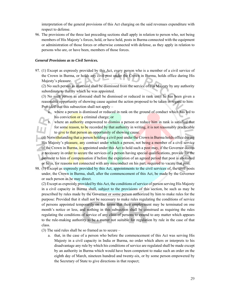interpretation of the general provisions of this Act charging on the said revenues expenditure with respect to defense.

96. The provisions of the three last preceding sections shall apply in relation to person who, not being members of His Majesty's forces, hold, or have held, posts in Burma connected with the equipment or administration of those forces or otherwise connected with defense, as they apply in relation to persons who are, or have been, members of those forces.

### *General Provisions as to Civil Services.*

97. (1) Except as expressly provided by this Act, every person who is a member of a civil service of the Crown in Burma, or holds any civil post under the Crown in Burma, holds office during His Majesty's pleasure.

(2) No such person as aforesaid shall be dismissed from the service of His Majesty by any authority subordinate to that by which he was appointed.

(3) No such person as aforesaid shall be dismissed or reduced in rank until he has been given a reasonable opportunity of showing cause against the action proposed to be taken in regard to him: Provided that this subsection shall not apply –

a. where a person is dismissed or reduced in rank on the ground of conduct which has led to his conviction or a criminal charge; or

where an authority empowered to dismiss a person or reduce him in rank is satisfied that for some reason, to be recorded by that authority in writing, it is not reasonably practicable to give to that person an opportunity of showing cause.

- (4) Notwithstanding that a person holding a civil post under the Crown in Burma holds office during His Majesty's pleasure, any contract under which a person, not being a member of a civil service of the Crown in Burma, is appointed under this Act to hold such a post may, if the Governor deems it necessary in order to secure the services of a person having special qualifications, provide for the payment to him of compensation if before the expiration of an agreed period that post is abolished or he is, for reasons not connected with any misconduct on his part, required to vacate that post.
- 98. (1) Except as expressly provided by this Act, appointments to the civil services of, the civil posts under, the Crown in Burma, shall, after the commencement of this Act, be made by the Governor or such person as he may direct.

(2) Except as expressly provided by this Act, the conditions of service of person serving His Majesty in a civil capacity in Burma shall, subject to the provisions of this section, be such as may be prescribed by rules made by the Governor or some person authorized by him to make rules for the purpose: Provided that it shall not be necessary to make rules regulating the conditions of service of persons appointed temporarily on the terms that their employment may be terminated on one month's notice or less, and nothing in this subsection shall be construed as requiring the rules regulating the conditions of service of any class of persons to extend to any matter which appears to the rule-making authority to be a matter not suitable for regulation by rule in the case of that class.

(3) The said rules shall be so framed as to secure –

a. that, in the case of a person who before the commencement of this Act was serving His Majesty in a civil capacity in India or Burma, no order which alters or interprets to his disadvantage any rule by which his conditions of service are regulated shall be made except by an authority in Burma which would have been competent to make such an order on the eighth day of March, nineteen hundred and twenty-six, or by some person empowered by the Secretary of State to give directions in that respect;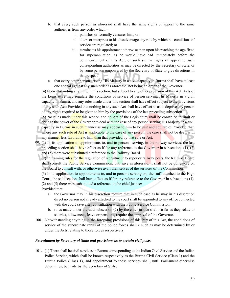- b. that every such person as aforesaid shall have the same rights of appeal to the same authorities from any order which –
	- i. punishes or formally censures him; or
	- ii. alters or interprets to his disadvantage any rule by which his conditions of service are regulated; or
	- iii. terminates his appointment otherwise than upon his reaching the age fixed for superannuation, as he would have had immediately before the commencement of this Act, or such similar rights of appeal to such corresponding authorities as may be directed by the Secretary of State, or by some person empowered by the Secretary of State to give directions in that respect.
- c. that every other person serving His Majesty in a civil capacity in Burma shall have at least one appeal against any such order as aforesaid, not being an order of the Governor.

(4) Notwithstanding anything in this section, but subject to any other provision of this Act, Acts of the Legislature may regulate the conditions of service of person serving His Majesty in a civil capacity in Burma, and any rules made under this section shall have effect subject to the provisions of any such Act: Provided that nothing in any such Act shall have effect so as to deprive any person of any rights required to be given to him by the provisions of the last preceding subsection.

(5) No rules made under this section and no Act of the Legislature shall be construed to limit or abridge the power of the Governor to deal with the case of any person serving His Majesty in a civil capacity in Burma in such manner as may appear to him to be just and equitable: Provided that, where any such rule of Act is applicable to the case of any person, the case shall not be dealt with any manner less favorable to him than that provided by that rule or Act.

- 99. (1) In its application to appointments to, and to persons serving, in the railway services, the last preceding section shall have effect as if for any reference to the Governor in subsections  $(1)$ ,  $(2)$ and (5) there were substituted a reference to the Railway Board.
	- (2) In framing rules for the regulation of recruitment to superior railway posts, the Railway Board shall consult the **Public Service Commission**, but, save as aforesaid, it shall not be obligatory on the Board to consult with, or otherwise avail themselves of the services of the Commission.

(3) In its application to appointments to, and to persons serving on, the staff attached to the High Court, the said section shall have effect as if for any reference to the Governor in subsections (1), (2) and (5) there were substituted a reference to the chief justice: Provided that –

- a. the Governor may in his discretion require that in such case as he may in his discretion direct no person not already attached to the court shall be appointed to any office connected with the court save after consultation with the Public Service Commission;
- b. rules made under the said subsection (2) by the chief justice shall, so far as they relate to salaries, allowances, leave or pensions, require the approval of the Governor.
- 100. Notwithstanding anything in the foregoing provisions of this Part of this Act, the conditions of service of the subordinate ranks of the police forces shall e such as may be determined by or under the Acts relating to those forces respectively.

#### *Recruitment by Secretary of State and provisions as to certain civil posts.*

101. (1) There shall be civil services in Burma corresponding to the Indian Civil Service and the Indian Police Service, which shall be known respectively as the Burma Civil Service (Class 1) and the Burma Police (Class 1), and appointment to those services shall, until Parliament otherwise determines, be made by the Secretary of State.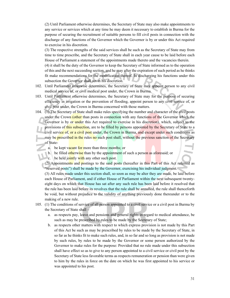(2) Until Parliament otherwise determines, the Secretary of State may also make appointments to any service or services which at any time he may deem it necessary to establish in Burma for the purpose of securing the recruitment of suitable persons to fill civil posts in connection with the discharge of any functions of the Governor which the Governor is by or under this Act required to exercise in his discretion.

(3) The respective strengths of the said services shall be such as the Secretary of State may from time to time prescribe, and the Secretary of State shall in each year cause to be laid before each House of Parliament a statement of the appointments made thereto and the vacancies therein.

(4) it shall be the duty of the Governor to keep the Secretary of State informed as to the operation of this and the next succeeding section, and he may after the expiration of such period as he thinks fit make recommendations for the modification thereof. In discharging his functions under this subsection the Governor shall act in his discretion.

- 102. Until Parliament otherwise determines, the Secretary of State may appoint person to any civil medical service of, or civil medical post under, the Crown in Burma.
- 103. Until Parliament otherwise determines, the Secretary of State may for the purpose of securing efficiency in irrigation or the prevention of flooding, appoint person to any civil service of, or civil post under, the Crown in Burma concerned with those matters.
- 104. (1) The Secretary of State shall make rules specifying the number and character of the civil posts under the Crown (other than posts in connection with any functions of the Governor which the Governor is by or under this Act required to exercise in his discretion), which, subject to the provisions of this subsection, are to be filled by persons appointed by the Secretary of State to a civil service of, or a civil post under, the Crown in Burma, and except under such conditions as may be prescribed in the rules no such post shall, without the previous sanction of the Secretary of State
	- a. be kept vacant for more than three months; or
	- b. be filled otherwise than by the appointment of such a person as aforesaid; or
	- c. be held jointly with any other such post.

(2) Appointments and postings to the said posts (hereafter in this Part of this Act referred as "reserved posts") shall be made by the Governor, exercising his individual judgment.

(3) All rules made under this section shall, so soon as may be alter they are made, be laid before each House of Parliament, and if either House of Parliament within the next subsequent twentyeight days on which that House has sat after any such rule has been laid before it resolved that the rule has been laid before its revolves that the rule shall be annulled, the rule shall thenceforth be void, but without prejudice to the validity of anything previously done thereunder or to the making of a new rule.

- 105. (1) The conditions of service of all person appointed to a civil service or a civil post in Burma by the Secretary of State shall –
	- a. as respects pay, leave and pensions and general rights in regard to medical attendance, be such as may be prescribed by rules to be made by the Secretary of State;
	- b. as respects other matters with respect to which express provision is not made by this Part of this Act be such as may be prescribed by rules to be made by the Secretary of State, in so far as he thinks fit to make such rules, and, in so far and so long as provision is not made by such rules, by rules to be made by the Governor or some person authorized by the Governor to make rules for the purpose: Provided that no rule made under this subsection shall have effect so as to give to any person appointed to a civil service or civil post by the Secretary of State less favorable terms as respects remuneration or pension than were given to him by the rules in force on the date on which he was first appointed to his service or was appointed to his post.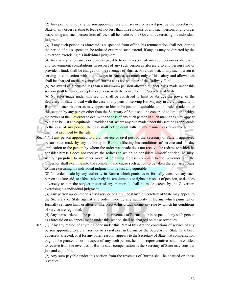(2) Any promotion of any person appointed to a civil service or a civil post by the Secretary of State or any order relating to leave of not less than three months of any such person, or any order suspending any such person from office, shall be made by the Governor, exercising his individual judgment.

(3) If any such person as aforesaid is suspended from office, his remuneration shall not, during the period of his suspension, be reduced except to such extend, if any, as may be directed by the Governor, exercising his individual judgment.

(4) Any salary, allowances or pension payable to or in respect of any such person as aforesaid, and Government contributions in respect of any such person as aforesaid to any person fund or provident fund, shall be charged on the revenues of Burma: Provided that, if any such person is serving in connection with the railways in Burma, so much only of his salary and allowances shall be charged on the revenues of Burma as is not paid our of the Railway Fund.

(5) No award of a pension les than a maximum pension allowable under rules made under this section shall be made, except in each case with the consent of the Secretary of State.

(6) No rules made under this section shall be construed to limit or abridge the power of the Secretary of State to deal with the case of any pension serving His Majesty in a civil capacity in Burma, in such manner as may appear to him to be just and equitable, and no rules made under this section by any person other than the Secretary of State shall be construed to limit or abridge the power of the Governor to deal with the case of any such person in such manner as may appear to him to be just and equitable: Provided that, where any rule made under this section is applicable to the case of any person, the case shall not be dealt with in any manner less favorable to him than that provided by the rule.

106. (1) If any person appointed to a civil service or civil post by the Secretary of State is aggrieved by an order made by any authority in Burma affecting his conditions of service and on due application to the person by whom the order was made does not receive the redress to which he consider himself does not receive the redress to which he considers himself entitled, he may, without prejudice to any other mode of obtaining redress, complain to the Governor, and the Governor shall examine into the complaint and cause such action to be taken thereon as appears to him exercising his individual judgment to be just and equitable.

(2) No order made by any authority in Burma which punishes or formally censures any such person as aforesaid, or affects adversely his emoluments or rights in respect of pension, or decides adversely to him the subject-matter of any memorial, shall be made except by the Governor, exercising his individual judgment.

(3) Any person appointed to a civil service or a civil post by the Secretary of State may appeal to the Secretary of State against any order made by any authority in Burma which punishes or formally censures him, or alters or interprets to his disadvantage any rule by which his conditions of service are regulated.

(4) Any sums ordered to be paid out of the revenues of Burma to or in respect of any such person as aforesaid on an appeal made under this section shall be charged on those revenues.

107. (1) If by any reason of anything done under this Part of this Act the conditions of service of any person appointed to a civil service or a civil post in Burma by the Secretary of State have been adversely affected, or if for any other reason it appears to the Secretary of State that compensation ought to be granted to, or in respect of, any such person, he or his representatives shall be entitled to receive from the revenues of Burma such compensation as the Secretary of State may consider just and equitable.

(2) Any sum payable under this section from the revenues of Burma shall be charged on those revenues.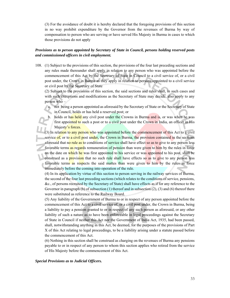(3) For the avoidance of doubt it is hereby declared that the foregoing provisions of this section in no way prohibit expenditure by the Governor from the revenues of Burma by way of compensation to person who are serving or have served His Majesty in Burma in cases to which those provisions do not apply

# *Provisions as to person appointed by Secretary of State in Council, persons holding reserved posts and commissioned officers in civil employment.*

108. (1) Subject to the provisions of this section, the provisions of the four last preceding sections and any rules made thereunder shall apply in relation to any person who was appointed before the commencement of this Act by the Secretary of State in Council to a civil service of, or a civil post under, the Crown in Burma as they apply in relation to persons appointed to a civil service or civil post by the Secretary of State

(2) Subject to the provisions of this section, the said sections and rules shall, in such cases and with such exceptions and modifications as the Secretary of State may decide, also apply to any person who –

- a. not being a person appointed as aforesaid by the Secretary of State or the Secretary of State in Council, holds or has held a reserved post; or
- b. holds or has held any civil post under the Crowns in Burma and is, or was when he was first appointed to such a post or to a civil post under the Crown in India, an officer in His Majesty's forces.

(3) In relation to any person who was appointed before the commencement of this Act to a civil service of, or to a civil post under, the Crown in Burma, the provision contained in the sections aforesaid that no rule as to conditions of service shall have effect so as to give to any person less favorable terms as regards remuneration of pension than were given to him by the rules in force on the date on which he was first appointed to his service or was appointed to his post, shall be construed as a **provision** that no such rule shall have effects so as to give to any person less favorable terms as respects the said mattes than were given to him by the rules in force immediately before the coming into operation of the rule.

(4) In its application by virtue of this section to person serving in the railway services of Burma, the second of the four last preceding sections (which relates to the conditions of service, pensions, &c., of persons recruited by the Secretary of State) shall have effects as if for any reference to the Governor in paragraph (b) of subsection (1) thereof and in subsection (2), (3) and (6) thereof there were substituted as reference to the Railway Board.

(5) Any liability of the Government of Burma to or in respect of any person appointed before the commencement of this Act to a civil service of, or a civil post under, the Crown in Burma, being a liability to pay a pension granted to or in respect of any such person as aforesaid, or any other liability of such a nature as to have been enforceable in legal proceedings against the Secretary of State in Council if neither this Act nor the Government of India Act, 1935, had been passed, shall, notwithstanding anything in this Act, be deemed, for the purposes of the provisions of Part X of this Act relating to legal proceedings, to be a liability arising under a statute passed before the commencement of this Act.

(6) Nothing in this section shall be construed as charging on the revenues of Burma any pensions payable to or in respect of any person to whom this section applies who retired from the service of His Majesty before the commencement of this Act.

#### *Special Provisions as to Judicial Officers.*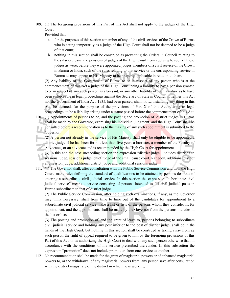109. (1) The foregoing provisions of this Part of this Act shall not apply to the judges of the High Court:

Provided that –

- a. for the purposes of this section a member of any of the civil services of the Crown of Burma who is acting temporarily as a judge of the High Court shall not be deemed to be a judge of that court;
- b. nothing in this section shall be construed as preventing the Orders in Council relating to the salaries, leave and pensions of judges of the High Court from applying to such of those judges as were, before they were appointed judges, members of a civil service of the Crown in Burma or India, such of the rules relating to that service or the corresponding service in Burma as may appear to His Majesty to be properly applicable in relation to them.

(2) Any liability of the Government of Burma to or in respect of any person who is at the commencement of this Act a judge of the High Court, being a liability to pay a pension granted to or in respect of any such person as aforesaid, or any other liability of such a nature as to have been enforceable in legal proceedings against the Secretary of State in Council if neither this Act nor the Government of India Act, 1935, had been passed, shall, notwithstanding any thing in this Act, be deemed, for the purpose of the provisions of Part X of this Act relating to legal proceedings, to be a liability arising under a statue passed before the commencement of this Act.

- 110. (1) Appointments of persons to be, and the posting and promotion of, district judges in Burma shall be made by the Governor, exercising his individual judgment, and the High Court shall be consulted before a recommendation as to the making of any such appointment is submitted to the Governor.
	- (2) A person not already in the service of His Majesty shall only be eligible to be appointed a district judge if he has been for not less than five years a barrister, a member of the Faculty of Advocates, or an advocate and is recommended by the High Court for appointment.
		- (3) In this and the next succeeding section the expression "district judge" includes district and sessions judge, sessions judge, chief judge of the small cause court, Rangoon, additional district and session judge, additional district judge and additional sessions judge.
- 111. (1) The Governor shall, after consultation with the Public Service Commission and with the High Court, make rules defining the standard of qualifications to be attained by persons desirous of entering a subordinate civil judicial service. In this section the expression "subordinate civil judicial service" means a service consisting of persons intended to fill civil judicial posts in Burma subordinate to that of district judge.

(2) The Public Service Commission, after holding such examinations, if any, as the Governor may think necessary, shall from time to time out of the candidates for appointment to a subordinate civil judicial service make a list or lists of the persons whom they consider fit for appointment, and the appointments shall be made by the Governor from the persons includes in the list or lists.

(3) The posting and promotion of, and the grant of leave to, persons belonging to subordinate civil judicial service and holding any post inferior to the post of district judge, shall be in the hands of the High Court, but nothing in this section shall be construed as taking away from ay such person the right of appeal required to be given to him by the foregoing provisions of this Part of this Act, or as authorizing the High Court to deal with any such person otherwise than in accordance with the conditions of his service prescribed thereunder. In this subsection the expression "promotion" does not include promotion from one service to another.

112. No recommendation shall be made for the grant of magisterial powers or of enhanced magisterial powers to, or the withdrawal of any magisterial powers from, any person save after consultation with the district magistrate of the district in which he is working.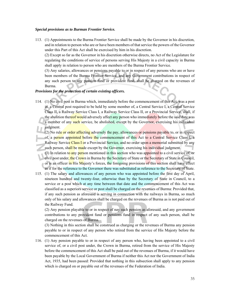#### *Special provisions as to Burman Frontier Service.*

113. (1) Appointments to the Burma Frontier Service shall be made by the Governor in his discretion, and in relation to person who are or have been members of that service the powers of the Governor under this Part of this Act shall be exercised by him in his discretion.

(2) Except so far as the Governor in his discretion otherwise directs, no Act of the Legislature for regulating the conditions of service of persons serving His Majesty in a civil capacity in Burma shall apply in relation to person who are members of the Burma Frontier Service.

(3) Any salaries, allowances or pensions payable to or in respect of any persons who are or have been members of the Burma Frontier Service, and any Government contributions in respect of any such person to any pension fund or provident fund, shall be charged on the revenues of Burma.

# *Provisions for the protection of certain existing officers.*

114. (1) No civil post in Burma which, immediately before the commencement of this Act, was a post in, a Central post required to be held by some member of, a Central Service I, a Central Service Class II, a Railway Service Class I, a Railway Service Class II, or a Provincial Service, shall, if the abolition thereof would adversely affect any person who immediately before the said date was a member of any such service, be abolished, except by the Governor, exercising his individual judgment.

(2) No rule or order affecting adversely the pay, allowances or pensions payable to, or in respect of, a person appointed before the commencement of this Act to a Central Service Class I, a Railway Service Class I or a Provincial Service, and no order upon a memorial submitted by any such person, shall be made except by the Governor, exercising his individual judgment.

(3) In relation to any person mentioned in this section who was appointed to a civil service of, or civil post under, the Crown in Burma by the Secretary of State or the Secretary of State in Council, or is an officer in His Majesty's forces, the foregoing provisions of this section shall have effect as if for the reference to the Governor there was substituted as reference to the Secretary of State.

115. (1) The salary and allowances of any person who was appointed before the first day of April, nineteen hundred and twenty-four, otherwise than by the Secretary of State in Council, to a service or a post which at any time between that date and the commencement of this Act was classified as a superiors service or post shall be charged on the revenues of Burma: Provided that, if any such pension as aforesaid is serving in connection with the railways in Burma, so much only of his salary and allowances shall be charged on the revenues of Burma as is not paid out of the Railway Fund.

(2) Any pension playable to or in respect of nay such pension as aforesaid, and any government contributions to any provident fund or pensions fund in respect of any such person, shall be charged on the revenues of Burma.

(3) Nothing in this section shall be construed as charging or the revenues of Burma any pension payable to or in respect of any person who retired from the service of His Majesty before the commencement of this Act.

116. (1) Any pension payable to or in respect of any person who, having been appointed to a civil service of, or a civil post under, the Crown in Burma, retired from the service of His Majesty before the commencement of this Act shall be paid out of the revenues of Burma, if it would have been payable by the Local Government of Burma if neither this Act nor the Government of India Act, 1935, had been passed: Provided that nothing in this subsection shall apply to any pension which is charged on or payable out of the revenues of the Federation of India.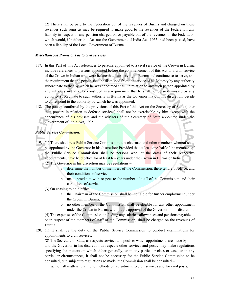(2) There shall be paid to the Federation out of the revenues of Burma and charged on those revenues such sums as may be required to make good to the revenues of the Federation any liability in respect of any pension charged on or payable out of the revenues of the Federation which would, if neither this Act nor the Government of India Act, 1935, had been passed, have been a liability of the Local Government of Burma.

#### *Miscellaneous Provisions as to civil services.*

- 117. In this Part of this Act references to persons appointed to a civil service of the Crown in Burma include references to persons appointed before the commencement of this Act to a civil service of the Crown in Indian who were before that date serving in Burma and continue so to serve, and the requirement that no person shall be dismissed from the service of his Majesty by any authority subordinate to that by which he was appointed shall, in relation to any such person appointed by any authority in India., be construed as a requirement that he shall not be so dismissed by any authority subordinate to such authority in Burma as the Governor may, in his discretion, decide to correspond to the authority by which he was appointed.
- 118. The powers conferred by the provisions of this Part of this Act on the Secretary of State (other than powers in relation to defense services) shall not be exercisable by him except with the concurrence of his advisers and the advisers of the Secretary of State appointed under the Government of India Act, 1935.

# *Public Service Commission.*

- 119. (1) There shall be a Public Service Commission, the chairman and other members whereof shall be appointed by the Governor in his discretion: Provided that at least one-half of the members of the Public Service Commission shall be persons who, at the dates of their respective appointments, have held office for at least ten years under the Crown in Burma or India.
	- (2) The Governor in his discretion may be regulations  $$ 
		- a. determine the number of members of the Commission, there tenure of office, and their conditions of service;
		- b. make provision with respect to the number of staff of the Commission and their conditions of service.

(3) On ceasing to hold office –

- a. the Chairman of the Commission shall be ineligible for further employment under the Crown in Burma;
- b. no other member of the Commission shall be eligible for any other appointment under the Crown in Burma without the approval of the Governor in his discretion.

(4) The expenses of the Commission, including any salaries, allowances and pensions payable to or in respect of the members of staff of the Commission, shall be charged on the revenues of Burma.

120. (1) It shall be the duty of the Public Service Commission to conduct examinations for appointments to civil services.

(2) The Secretary of State, as respects services and posts to which appointments are made by him, and the Governor in his discretion as respects other services and posts, may make regulations specifying the matters on which either generally, or in any particular class or case, or in any particular circumstances, it shall not be necessary for the Public Service Commission to be consulted, but, subject to regulations so made, the Commission shall be consulted –

a. on all matters relating to methods of recruitment to civil services and for civil posts;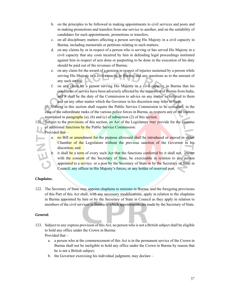- b. on the principles to be followed in making appointments to civil services and posts and in making promotions and transfers from one service to another, and on the suitability of candidates for such appointments, promotions or transfers;
- c. on all disciplinary matters affecting a person serving His Majesty in a civil capacity in Burma, including memorials or petitions relating to such matters;
- d. on any claims by or in respect of a person who is serving or has served His Majesty in a civil capacity that any costs incurred by him in defending legal proceedings instituted against him in respect of acts done or purporting to be done in the execution of his duty should be paid out of the revenues of Burma;
- e. on any claim for the award of a pension in respect of injuries sustained by a person while serving His Majesty in a civil capacity in Burma, and any questions as to the amount of any such award;
- f. on any claim by a person serving His Majesty in a civil capacity in Burma that his conditions of service have been adversely affected by the separation of Burma from India, and it shall be the duty of the Commission to advice on any matter so referred to them and on any other matter which the Governor in his discretion may refer to them.

(3) Nothing in this section shall require the Public Service Commission to be consulted, in the case of the subordinate ranks of the various police forces in Burma, as respects any of the matters mentioned in paragraphs (a), (b) and (c) of subsection (2) of this section.

121. Subject to the provisions of this section, an Act of the Legislature may provide for the exercise of additional **functions by the Public Service Commission:** 

Provided that –

- a. no Bill or amendment for the purpose aforesaid shall be introduced or moved in either Chamber of the Legislature without the previous sanction of the Governor in his discretion; and
- b. it shall be a term of every such Act that the functions conferred by it shall not, except with the consent of the Secretary of State, be exercisable in relation to any person appointed to a service or a post by the Secretary of State or by the Secretary of State in Council, any officer in His Majesty's forces, or any holder of reserved post.

# *Chaplains.*

122. The Secretary of State may appoint chaplains to minister in Burma, and the foregoing provisions of this Part of this Act shall, with any necessary modifications, apply in relation to the chaplains in Burma appointed by him or by the Secretary of State in Council as they apply in relation to members of the civil services in Burma to which appointments are made by the Secretary of State.

# *General.*

- 123. Subject to any express provision of this Act, no person who is not a British subject shall be eligible to hold any office under the Crown in Burma: Provided that –
	- a. a person who at the commencement of this Act is in the permanent service of the Crown in Burma shall not be ineligible to hold any office under the Crown in Burma by reason that he is not a British subject;
	- b. the Governor exercising his individual judgment, may declare –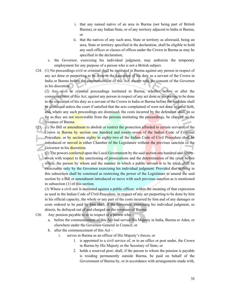- i. that any named native of an area in Burma (not being part of British Burma), or any Indian State, or of any territory adjacent to India or Burma, or
- ii. that the natives of any such area, State or territory as aforesaid, being an area, State or territory specified in the declaration, shall be eligible to hold any such offices or classes of offices under the Crown in Burma as may be specified in the declaration;
- c. the Governor, exercising his individual judgment, may authorize the temporary employment for any purpose of a person who is not a British subject.
- 124. (1) No proceedings civil or criminal shall be instituted in Burma against any person in respect of any act done or purporting to be done in the execution of his duty as a servant of the Crown in India or Burma before the commencement of this Act, except with the consent of the Governor in his discretion.

(2) Any civil or criminal proceedings instituted in Burma, whether before or after the commencement of this Act, against any person in respect of any act done or purporting to be done in the execution of his duty as a servant of the Crown in India or Burma before the said date shall be dismissed unless the court if satisfied that the acts complained of were not done in good faith, and, where any such proceedings are dismissed, the costs incurred by the defendant shall, in so far as they are not recoverable from the persons instituting the proceedings, be charged on the revenues of Burma.

- 125. (1) No Bill or amendment to abolish or restrict the protection afforded to certain servants of the Crown in Burma by section one hundred and ninety-seven of the Indian Code of Criminal Procedure, or by sections eighty to eighty-two of the Indian Code of Civil Procedure shall be introduced or moved in either Chamber of the Legislature without the previous sanction of the Governor in his discretion.
	- (2) The powers conferred upon the Local Government by the said section one hundred and ninetyseven with respect to the sanctioning of prosecutions and the determination of the court before which, the person by whom and the manner in which a public servant is to be tried, shall be exercisable only by the Governor exercising his individual judgment: Provided that nothing in this subsection shall be construed as restricting the power of the Legislature to amend the said section by a Bill or amendment introduced or move with such previous sanction as is mentioned in subsection (1) of this section.

(3) Where a civil suit is instituted against a public officer, within the meaning of that expression as used in the Indian Code of Civil Procedure, in respect of any act purporting to be done by him in his official capacity, the whole or any part of the costs incurred by him and of any damages or costs ordered to be paid by him shall, if the Governor, exercising his individual judgment, so directs, be defrayed out of and charged on the revenues of Burma.

- 126. Any pension payable to or in respect of a person who
	- a. before the commencement of this Act had served His Majesty in India, Burma or Aden, or elsewhere under the Governor-General in Council; or
	- b. after the commencement of this Act
		- i. serves in Burma as an officer of His Majesty's forces; or
			- 1. is appointed to a civil service of, or to an office or post under, the Crown in Burma by His Majesty or the Secretary of State; or
			- 2. holds a reserved post; shall, if the person to whom the pension is payable is residing permanently outside Burma, be paid on behalf of the Government of Burma by, or in accordance with arrangements made with,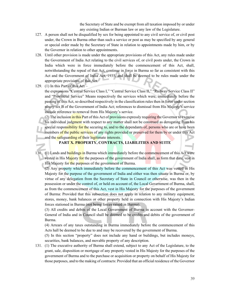the Secretary of State and be exempt from all taxation imposed by or under any existing Indian or Burman law or any law of the Legislature.

- 127. A person shall not be disqualified by sex for being appointed to any civil service of, or civil post under, the Crown in Burma other than such a service or post as may be specified by any general or special order made by the Secretary of State in relation to appointments made by him, or by the Governor in relation to other appointments.
- 128. Until other provision is made under the appropriate provisions of this Act, any rules made under the Government of India Act relating to the civil services of, or civil posts under, the Crown in India which were in force immediately before the commencement of this Act, shall, notwithstanding the repeal of that Act, continue in force in Burma so far as consistent with this Act and the Government of India Act, 1935, and shall be deemed to be rules made under the appropriate provisions of this Act.
- 129. (1) In this Part of this Act –

the expressions "Central Service Class I," "Central Service Class II," "Railway Service Class II" and "Provincial Service" Means respectively the services which were, immediately before the passing of this Act, so described respectively in the classification rules then in force under section ninety-six B of the Government of India Act; references to dismissal from His Majesty's service include reference to removal from His Majesty's service.

(2) The inclusion in this Part of this Act of provisions expressly requiring the Governor to exercise his individual judgment with respect to any matter shall not be construed as derogating from his special responsibility for the securing to, and to the dependants of, persons who are or have been members of the public services of any rights provided or preserved for them by or under this Act and the safeguarding of their legitimate interests.

**PART X. PROPERTY, CONTRACTS, LIABILITIES AND SUITE** 

130. (1) Lands and buildings in Burma which immediately before the commencement of this Act were vested in His Majesty for the purposes of the government of India shall, as form that date, vest in His Majesty for the purposes of the government of Burma.

(2) Any property which immediately before the commencement of this Act was vested in His Majesty for the purpose of the government of India and either was then situate in Burma or, by virtue of any delegation from the Secretary of State in Council or otherwise, was then in the possession or under the control of, or held on account of, the Local Government of Burma, shall, as from the commencement of this Act, vest in His Majesty for the purposes of the government of Burma: Provided that this subsection does not apply in relation to any military equipment, stores, money, bank balances or other property held in connection with His Majesty's Indian forces stationed in Burma (not being forces raised in Burma).

(3) All credits and debits of the Local Government of Burma in account with the Governor-General of India and in Council shall be deemed to be credits and debits of the government of Burma.

(4) Arrears of any taxes outstanding in Burma immediately before the commencement of this Acts hall be deemed to be due to and may be recovered by the government of Burma.

(5) In this section "property" does not include any hand or buildings, but includes moneys, securities, bank balances, and movable property of any description.

131. (1) The executive authority of Burma shall extend, subject to any Act of the Legislature, to the grant, sale, disposition or mortgage of any property vested in His Majesty for the purposes of the government of Burma and to the purchase or acquisition or property on behalf of His Majesty for those purposes, and to the making of contracts: Provided that an official residence of the Governor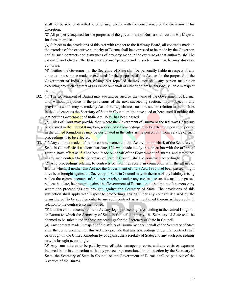shall not be sold or diverted to other use, except with the concurrence of the Governor in his discretion.

(2) All property acquired for the purposes of the government of Burma shall vest in His Majesty for those purposes.

(3) Subject to the provisions of this Act with respect to the Railway Board, all contracts made in the exercise of the executive authority of Burma shall be expressed to be made by the Governor, and all such contracts and assurances of property made in the exercise of that authority shall be executed on behalf of the Governor by such persons and in such manner as he may direct or authorize.

(4) Neither the Governor nor the Secretary of State shall be personally liable in respect of any contract or assurance made or executed for the purposes of this Act, or for the purposed of the Government of India Act or of any Act repealed thereby, nor shall any person making or executing any such contract or assurance on behalf of either of them be personally liable in respect thereof.

132. (1) The Government of Burma may sue and be sued by the name of the Government of Burma, and, without prejudice to the provisions of the next succeeding section, may, subject to any provisions which may be made by Act of the Legislature, sue or be sued in relation to their affairs in the like cases as the Secretary of State in Council might have sued or been sued if neither this Act nor the Government of India Act, 1935, has been passed.

(2) Rules of Court may provide that, where the Government of Burma or the Railway Board sue or are sued in the United Kingdom, service of all proceedings may be effected upon such person in the United Kingdom as may be designated in the rules as the person on whom service of such proceedings is to be effected.

133. (1) Any contract made before the commencement of this Act by, or on behalf, of the Secretary of State in Council shall as form that date, if it was made solely in connection with the affairs of Burma, have effect as if it had been made on behalf of the Government of Burma, and references in any such contract to the Secretary of State in Council shall be construed accordingly.

(2) Any proceedings relating to contracts or liabilities solely in connection with the affairs of Burma which, if neither this Act nor the Government of India Act, 1935, had been passed, might have been brought against the Secretary of State in Council may, in the case of any liability arising before the commencement of this Act or arising under any contract or statute made or passed before that date, be brought against the Government of Burma, or, at the option of the person by whom the proceedings are brought, against the Secretary of State. The provisions of this subsection shall apply with respect to proceedings arising under any contract declared by the terms thereof to be supplemental to any such contract as is mentioned therein as they apply in relation to the contracts so mentioned.

(3) If at the commencement of this Act any legal proceedings are pending in the United Kingdom or Burma to which the Secretary of State in Council is a party, the Secretary of State shall be deemed to be substituted in those proceedings for the Secretary of State in Council.

(4) Any contract made in respect of the affairs of Burma by or on behalf of the Secretary of State after the commencement of this Act may provide that any proceedings under that contract shall be brought in the United Kingdom by or against the Secretary of State, and any such proceedings may be brought accordingly.

(5) Any sum ordered to be paid by way of debt, damages or costs, and any costs or expenses incurred in, or in connection with, any proceedings mentioned in this section by the Secretary of State, the Secretary of State in Council or the Government of Burma shall be paid out of the revenues of the Burma.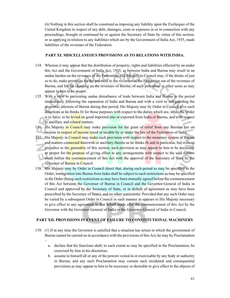(6) Nothing in this section shall be construed as imposing any liability upon the Exchequer of the United Kingdom in respect of any debt, damages, costs or expenses in or in connection with any proceedings, brought or continued by or against the Secretary of State by virtue of this section, or as applying in relation to any liabilities which are by the Government of India Act, 1935, made liabilities of the revenues of the Federation.

### **PART XI. MISCELLANEOUS PROVISIONS AS TO RELATIONS WITH INDIA.**

- 134. Whereas it may appear that the distribution of property, rights and liabilities effected by an under this Act and the Government of India Act, 1935, as between India and Burma may result in an undue burden on the revenues of the Federation, His Majesty in Council may, if the thinks of just so to do, make provision for the payment to the revenues of the Federation out of the revenues of Burma, and for the charging on the revenues of Burma, of such periodical or other sums as may appear to him to be proper.
- 135. With a view to preventing undue disturbance of trade between India and Burma in the period immediately following the separation of India and Burma and with a view to safeguarding the economic interests of Burma during that period, His Majesty may by Order in Council give such directions as he thinks fit for those purposes with respect to the duties which are, while the Order is in force, to be levied on good imported into or exported from India or Burma, and with respect to ancillary and related matters.
- 136. His Majesty in Council may make provision for the grant of relief from any Burman tax on income in respect of income taxed or taxable by or under the law of the Federation of India.
- 137. His Majesty in Council may make such provision with respect to the monetary system of Burma and matters connected therewith or ancillary thereto as he thinks fit and in particular, but without prejudice to the **generalit**y of this section, such provision as may appear to him to be necessary or proper for the purpose of giving effect to any arrangements with respect to the said matters made before the commencement of this Act with the approval of the Secretary of State by the Governor of Burma in Council.
- 138. His Majesty may by Order in Council direct that, during such period as may be specified in the Order, immigration into Burma from India shall be subject to such restrictions as may be specified in the Order (being such restrictions as may have been mutually agreed before the commencement of this Act between the Governor of Burma in Council and the Governor-General of India in Council and approved by the Secretary of State, or in default of agreement as may have been prescribed by the Secretary of State), and no other restrictions: Provided that any such Order may be varied by a subsequent Order in Council in such manner as appears to His Majesty necessary to give effect to any agreement in that behalf made after the commencement of this Act by the Governor with the Governor-General of India or the Governor-General of India in Council.

# **PART XII. PROVISIONS IN EVENT OF FAILURE TO CONSTITUTIONAL MACHINERY**

139. (1) If at any time the Governor is satisfied that a situation has arisen in which the government of Burma cannot be carried on in accordance with the provisions of this Act, he may by Proclamation

–

- a. declare that his functions shall, to such extent as may be specified in the Proclamation, be exercised by him in his discretion;
- b. assume to himself all or any of the powers vested in or exercisable by any body or authority in Burma; and any such Proclamation may contain such incidental and consequential provisions as may appear to him to be necessary or desirable to give effect to the objects of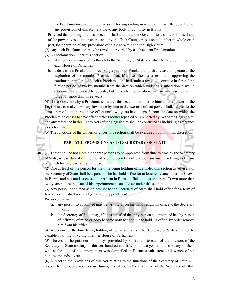the Proclamation, including provisions for suspending in whole or in part the operation of any provisions of this Act relating to any body or authority in Burma:

Provided that nothing in this subsection shall authorize the Governor to assume to himself any of the powers vested in or exercisable by the High Court, or to suspend, either in whole or in part, the operation of any provisions of this Act relating to the High Court.

- (2) Any such Proclamation may be revoked or varied by a subsequent Proclamation.
- (3) A Proclamation under this section
	- a. shall be communicated forthwith to the Secretary of State and shall be laid by him before each House of Parliament;
	- b. unless it is a Proclamation revoking a previous Proclamation, shall cease to operate at the expiration of six months: Provided that, if an so often as a resolution approving the continuance in force of such a Proclamation shall, unless revoked, continue in force for a further period of twelve months from the date on which under this subsection it would otherwise have ceased to operate, but no such Proclamation shall in any case remain in force for more than three years.

(4) If the Governor, by a Proclamation under this section, assumes to himself any power of the Legislature to make laws, any law made by him in the exercise of that power shall, subject to the terms thereof, continue to have effect until two years have elapsed from the date on which the Proclamation ceases to have effect, unless sooner repealed or re-enacted by Act of the Legislature, and any reference in this Act to Acts of the Legislature shall be construed as including a reference to such a law.

(5) The functions of the Governor under this section shall be exercised by him in his discretion.

### **PART VIII. PROVISIONS AS TO SECRETARY OF STATE**

140. (1) There shall be not more than three persons to be appointed from time to time by the Secretary of State, whose duty it shall be to advice the Secretary of State on any matter relating to Burma on which he may desire their advice.

(2) One at least of the person for the time being holding office under this section as advisers of the Secretary of State shall be a person who has held office for at least ten years under the Crown in Burma and has not last ceased to perform in Burma official duties under the Crown more than two years before the date of his appointment as an adviser under this section.

(3) Any person appointed as an advisor to the Secretary of State shall hold office for a term of five years and shall not be eligible for reappointment:

Provided that –

- a. any person so appointed may be writing under his hand resign his office to the Secretary of State;
- b. the Secretary of State may, if he is satisfied that any person so appointed has by reason of infirmity of mind or body become unfit to continue to hold his office, by order remove him from his office.

(4) A person for the time being holding office as adviser of the Secretary of State shall not be capable of sitting or voting in either House of Parliament.

(5) There shall be paid out of moneys provided by Parliament to each of the advisors of the Secretary of State a salary of thirteen hundred and fifty pounds a year and also to any of them who at the date of his appointment was domiciled in Burma a subsistence allowance of six hundred pounds a year.

(6) Subject to the provisions of this Act relating to the functions of the Secretary of State will respect to the public services in Burma, it shall be in the discretion of the Secretary of State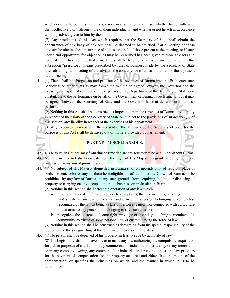whether or not he consults with his advisers on any matter, and, if so, whether he consults with them collectively or with one more of them individually, and whether or not he acts in accordance with any advice given to him by them.

(7) Any provisions of this Act which requires that the Secretary of State shall obtain the concurrence of any body of advisers shall be deemed to be satisfied if at a meeting of those advisers he obtains the concurrence of at least one-half of those present at the meeting, or if such notice and opportunity for objection as may be prescribed has been given to those advisers and none of them has required that a meeting shall be held for discussion on the matter. In this subsection "prescribed" means prescribed by rules of business made by the Secretary of State after obtaining at a meeting of the advisers the concurrence of at least one-half of those present at the meeting.

141. (1) There shall be charged on and paid out of the revenues of Burma into the Exchequer such periodical or other sums as may from time to time be agreed between the Governor and the Treasury in respect of so much of the expenses of the Department of the Secretary of State as is attributable to the performance on behalf of the Government of Burma of such functions as it may be agreed between the Secretary of State and the Governor that that department should so perform.

(2) Nothing in this Act shall be construed as imposing upon the revenues of Burma any liability in respect of the salary of the Secretary of State or, subject to the provisions of subsection (1) of this section, any liability in respect of the expenses of his department

(3) Any expenses incurred with the consent of the Treasury by the Secretary of State for the purposes of this Act shall be defrayed out of moneys provided by Parliament.

# **PART XIV. MISCELLANEOUS.**

142. His Majesty in Council may from time to time declare any territory to be within or without Burma.

- 143. Nothing in this **Act shall derogate from the right of His Majesty to grant pardons, reprieves,** respites or remission of punishment.
- 144. (1) No subject of His Majesty domiciled in Burma shall on grounds only of religion, place of birth, descent, color or any of them be ineligible for office under the Crown of Burma, or be prohibited by any law of Burma on any such grounds from acquiring, holding or disposing of property or carrying on any occupation, trade, business or profession in Burma.

(2) Nothing in this section shall affect the operation of any law which –

- a. prohibits either absolutely or subject to exceptions, the sale or mortgage of agricultural land situate in any particular area, and owned by a person belonging to some class recognized by the law as being a class of person engaged in or connected with agriculture in that area, to any person not belonging to any such class; or
- b. recognizes the existence of some right, privilege or disability attaching to members of a community by virtue of some personal law or custom having the force of law.

(3) Nothing in this section shall be construed as derogating from the special responsibility of the Governor for the safeguarding of the legitimate interests of minorities.

145. (1) No person shall be deprived of his property in Burma save by authority of law.

(2) The Legislature shall not have power to make any law authorizing the compulsory acquisition for public purposes of any land, or any commercial or industrial under taking, or any interest in, or in any company owning, any commercial or industrial under taking, unless the law provides for the payment of compensation for the property acquired and either fixes the mount of the compensation, or specifies the principles on which, and the manner in which, it is to be determined.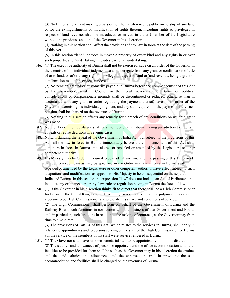(3) No Bill or amendment making provision for the transference to public ownership of any land or for the extinguishments or modification of rights therein, including rights or privileges in respect of land revenue, shall be introduced or moved in either Chamber of the Legislature without the previous sanction of the Governor in his discretion.

(4) Nothing in this section shall affect the provisions of any law in force at the date of the passing of this Act.

(5) In this section "land" includes immovable property of every kind and any rights in or over such property, and "undertaking" includes part of an undertaking.

146. (1) The executive authority of Burma shall not be exercised, save on an order of the Governor in the exercise of his individual judgment, so as to derogate from any grant or confirmation of title of or to land, or of or to any right or privilege in respect to land or land revenue, being a grant or confirmation made for services rendered.

(2) No pension granted or customarily payable in Burma before the commencement of this Act by the Governor-General in Council or the Local Government of Burma on political considerations or compassionate grounds shall be discontinued or reduced, otherwise than in accordance with any grant or order regulating the payment thereof, save on an order of the Governor, exercising his individual judgment, and any sum required for the payment of any such pension shall be charged on the revenues of Burma.

(3) Nothing in this section affects any remedy for a breach of any conditions on which a grant was made.

- 147. No member of the Legislature shall be a member of any tribunal having jurisdiction to entertain appeals or revise decisions in revenue cases.
- 148. Notwithstanding the repeal of the Government of India Act, but subject to the provisions of this Act, all the law in force in Burma immediately before the commencement of this Act shall continues in force in Burma until altered or repealed or amended by the Legislature or other competent authority.
- 149. His Majesty may by Order in Council to be made at any time after the passing of this Act provide that as from such date as may be specified in the Order any law in force in Burma shall, until repealed or amended by the Legislature or other competent authority, have effect subject to such adaptations and modifications as appears to His Majesty to be consequential on the separation of India and Burma. In this section the expression "law" does not include an Act of Parliament, but includes any ordinance, order, byelaw, rule or regulation having in Burma the force of law.
- 150. (1) If the Governor in his discretion thinks fit to direct that there shall be a High Commissioner for Burma in the United Kingdom, the Governor, exercising his individual judgment, may appoint a person to be High Commissioner and prescribe his salary and conditions of service.

(2) The High Commissioner shall perform on behalf of the Government of Burma and the Railway Board such functions in connection with the business of that Government and Board, and, in particular, such functions in relation to the making of contracts, as the Governor may from time to time direct.

(3) The provisions of Part IX of this Act (which relates to the services in Burma) shall apply in relation to appointments and to persons serving on the staff of the High Commissioner for Burma s if the service of the members of his staff were service rendered in Burma.

151. (1) The Governor shall have his own secretarial staff to be appointed by him in his discretion. (2) The salaries and allowances of person so appointed and the office accommodation and other facilities to be provided for them shall be such as the Governor may in his discretion determine, and the said salaries and allowances and the expenses incurred in providing the said accommodation and facilities shall be charged on the revenues of Burma.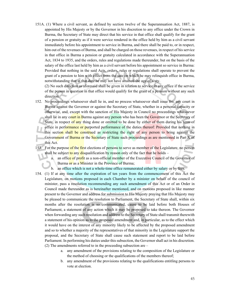151A. (1) Where a civil servant, as defined by section twelve of the Superannuation Act, 1887, is appointed by His Majesty or by the Governor in his discretion to any office under the Crown in Burma, the Secretary of State may direct that his service in that office shall qualify for the grant of a pension or gratuity as if it were service rendered in the office held by him as a civil servant immediately before his appointment to service in Burma, and there shall be paid to, or in respect, him out of the revenues of Burma, and shall be charged on those revenues, in respect of his service in that office in Burma a pension or gratuity calculated in accordance with the Superannuation Act, 1834 to 1935, and the orders, rules and regulations made thereunder, but on the basis of the salary of the office last held by him as a civil servant before his appointment so service in Burma: Provided that nothing in the said Acts, orders, rules or regulations shall operate to prevent the grant of a pension to him with effect from the sate on which he may relinquish office in Burma, notwithstanding that at that date he may not have attained the age of sixty.

(2) No such direction as aforesaid shall be given in relation to service in any office if the service of the person in question in that office would qualify for the grant of a pension without any such direction.

- 152. No proceedings whatsoever shall lie in, and no process whatsoever shall issue fro, any court in Burma against the Governor or against the Secretary of State, whether in a personal capacity or otherwise, and, except with the sanction of His Majesty in Council no proceedings whatsoever shall lie in any court in Burma against any person who has been the Governor or the Secretary of State, in respect of any thing done or omitted to be done by either of them during his term of office in performance or purported performance of the duties thereof: Provided that nothing in this section shall be construed as restricting the right of any person to bring against the Government of Burma or the Secretary of State such proceedings as are mentioned in Part X of this Act.
- 153. For the purpose of the first elections of persons to serve as member of the Legislature, no person shall be subject to any disqualification by reason only of the fact that he holds  $$ 
	- a. an office of profit as a non-official member of the Executive Council of the Governor of Burma or as a Minister in the Province of Burma;
	- b. an office which is not a whole-time office remunerated either by salary or by fees.
- 154. (1) If at any time after the expiration of ten years from the commencement of this Act the Legislature, on motions proposed in each Chamber by a minister on behalf of the council of minister, pass a resolution recommending any such amendment of this Act or of an Order in Council made thereunder as is hereinafter mentioned, and on motions proposed in like manner present to the Governor and address for submission to His Majesty praying that His Majesty may be pleased to communicate the resolution to Parliament, the Secretary of State shall, within six months after the resolution is so communicated, cause to be laid before both Houses of Parliament, a statement of any action which it may be proposed to take thereon. The Governor when forwarding any such resolution and address to the Secretary of State shall transmit therewith a statement of his opinion as to the proposed amendment and, in particular, as to the effect which it would have on the interest of any minority likely to be affected by the proposed amendment and so to whether a majority of the representatives of that minority in the Legislature support the proposal, and the Secretary of State shall cause such statement and report to be laid before Parliament. In performing his duties under this subsection, the Governor shall act in his discretion. (2) The amendments referred to in the proceeding subsection are –
	- a. any amendment of the provisions relating to the composition of the Legislature or the method of choosing or the qualifications of the members thereof;
	- b. any amendment of the provisions relating to the qualifications entitling persons to vote at election.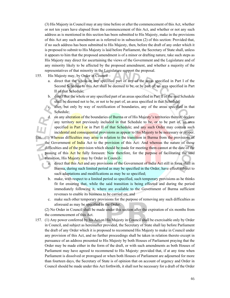(3) His Majesty in Council may at any time before or after the commencement of this Act, whether or not ten years have elapsed from the commencement of this Act, and whether or not any such address as is mentioned in this section has been submitted to His Majesty, make in the provisions of this Act any such amendment as is referred to in subsection (2) of this section: Provided that, if no such address has been submitted to His Majesty, then, before the draft of any order which it is proposed to submit to His Majesty is laid before Parliament, the Secretary of State shall, unless it appears to him that the proposed amendment is of a minor or drafting nature, take such steps as His Majesty may direct for ascertaining the views of the Government and the Legislature and of any minority likely to be affected by the proposed amendment, and whether a majority of the representatives of that minority in the Legislature support the proposal.

- 155. His Majesty may, by Order in Council
	- a. direct that the whole or any specified part of any of the areas specified in Part I of the Second Schedule to this Act shall be deemed to be, or be part of, an area specified in Part II of that Schedule;
	- b. direct that the whole or any specified part of an areas specified in Part II of the said Schedule shall be deemed not to be, or not to be part of, an area specified in that Schedule;
	- alter, but only by way of rectification of boundaries, any of the areas specified in that Schedule;

on any alteration of the boundaries of Burma or of His Majesty's territories therein, declare any territory not previously included in that Schedule to be, or to be part of, an area specified in Part I or in Part II of that Schedule; and any such Order may contain such incidental and consequential provisions as appear to His Majesty to be necessary or proper.

156. (1) Whereas difficulties may arise in relation to the transition in Burma from the provisions of the Government of India Act to the provision of this Act: And whereas the nature of those difficulties and of the provision which should be made for meeting them cannot at the date of the passing of this Act be fully foreseen: Now therefore, for the purpose of facilitating the said transition, His Majesty may by Order in Council-

- a. direct that this Act and any provisions of the Government of India Act still in force shall in Burma, during such limited period as may be specified in the Order, have effect subject to such adaptations and modifications as may be so specified;
- b. make, with respect to a limited period so specified, such temporary provisions as he thinks fit for ensuring that, while the said transition is being effected and during the period immediately following it, where are available to the Government of Burma sufficient revenues to enable its business to be carried on; and
- c. make such other temporary provisions for the purpose of removing any such difficulties as aforesaid as may be specified in the Order.

(2) No Order in Council shall be made under this section after the expiration of six months from the commencement of this Act.

157. (1) Any power conferred by his Act on His Majesty in Council shall be exercisable only by Order in Council, and subject as hereinafter provided, the Secretary of State shall lay before Parliament the draft of any Order which it is proposed to recommend His Majesty to make in Council under any provision of this Act, and no further proceedings shall be taken in relation thereto except in pursuance of an address presented to His Majesty by both Houses of Parliament praying that the Order may be made either in the form of the draft, or with such amendments as both Houses of Parliament may have agreed to recommend to His Majesty: provided that, if at any time when Parliament is dissolved or prorogued or when both Houses of Parliament are adjourned for more than fourteen days, the Secretary of State is of opinion that on account of urgency and Order in Council should be made under this Act forthwith, it shall not be necessary for a draft of the Order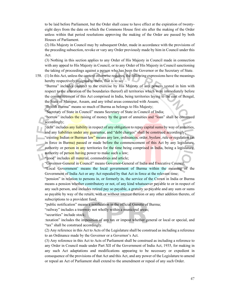to be laid before Parliament, but the Order shall cease to have effect at the expiration of twentyeight days from the date on which the Commons House first sits after the making of the Order unless within that period resolutions approving the making of the Order are passed by both Houses of Parliament.

(2) His Majesty in Council may by subsequent Order, made in accordance with the provisions of the preceding subsection, revoke or vary any Order previously made by him in Council under this Act.

(3) Nothing in this section applies to any Order of His Majesty in Council made in connection with any appeal to His Majesty in Council, or to any Order of His Majesty in Council sanctioning the taking of proceedings against a person who has been the Governor or the Secretary of State.

158. (1) In this Act, unless the context otherwise requires, the following expressions have the meanings hereby respectively assigned to them, that is to say –

"Burma" includes (subject to the exercise by His Majesty of any powers vested in him with respect to the alteration of the boundaries thereof) all territories which were immediately before the commencement of this Act comprised in India, being territories laying to the east of Bengal, the State of Manipur, Assam, and any tribal areas connected with Assam;

"British Burma" means so much of Burma as belongs to His Majesty;

"Secretary of State in Council" means Secretary of State in Council of India;

"borrow" includes the raising of money by the grant of annuities and "loan" shall be construed accordingly;

"debt" includes any liability in respect of any obligation to repay capital sums by way of annuities, and any liabilities under any guarantee, and "debt charges" shall be construed accordingly;

"existing Indian or Burman law" means any law, ordinances, order, byelaw, rule or regulation (as in force in Burma) passed or made before the commencement of this Act by any legislature, authority or person in any territories for the time being comprised in India, being a legislature, authority of person having power to make such a law;

"good" includes all material, commodities and article;

"Governor-General in Council" means Governor-General of India and Executive Council;

"Local Government' means the local government of Burma within the meaning of the Government of India Act or any Act repealed by that Act in force at the relevant time;

"pension" in relation to persons in, or formerly in, the service of the Crown in India or Burma means a pension whether contributory or not, of any kind whatsoever payable to or in respect of any such person, and includes retired pay so payable, a gratuity so payable and any sum or sums so payable by way of the return, with or without interest thereon or any other addition thereto, of subscriptions to a provident fund;

"public notification" means a notification in the official Gazette of Burma;

"railway" includes a tramway not wholly within a municipal areas;

"securities" include stock;

:taxation" includes the imposition of any tax or impost whether general or local or special, and "tax" shall be construed accordingly.

(2) Any reference in this Act to Acts of the Legislature shall be construed as including a reference to an Ordinance made by the Governor or a Governor's Act.

(3) Any reference in this Act to Acts of Parliament shall be construed as including a reference to any Order in Council made under Part XII of the Government of India Act, 1935, for making in any such Act adaptations and modifications appearing to be necessary or expedient in consequence of the provisions of that Act and this Act, and any power of the Legislature to amend or repeal an Act of Parliament shall extend to the amendment or repeal of any such Order.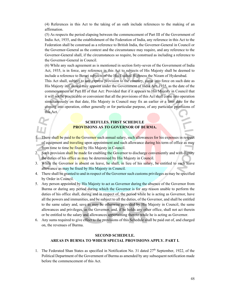(4) References in this Act to the taking of an oath include references to the making of an affirmation.

(5) As respects the period elapsing between the commencement of Part III of the Government of India Act, 1935, and the establishment of the Federation of India, any reference in this Act to the Federation shall be construed as a reference to British India, the Governor-General in Council or the Governor-General as the context and the circumstance may require, and any reference to the Governor-General shall, if the circumstances so require, be construed as including a reference to the Governor-General in Council.

(6) While any such agreement as is mentioned in section forty-seven of the Government of India Act, 1935, is in force, any reference in this Act to subjects of His Majesty shall be deemed to include a reference to Berari subjects of the His Exalted Highness the Nizam of Hyderabad.

This Act shall, subject to any express provision to the contrary, come into force on such date as His Majesty in Council may appoint under the Government of India Act, 1935, as the date of the commencement of Part III of that Act: Provided that if it appears to His Majesty in Council that it will not be practicable or convenient that all the provisions of this Act shall come into operation simultaneously on that date, His Majesty in Council may fix an earlier or a later date for the coming into operation, either generally or for particular purpose, of any particular provisions of this Act.

# **SCHEFULES. FIRST SCHEDULE PROVISIONS AS TO GOVERNOR OF BURMA.**

- 1. There shall be paid to the Governor such annual salary, such allowances for his expenses in respect of equipment and **traveling** upon appointment and such allowance during his term of office as may from time to time be fixed by His Majesty in Council.
- 2. Such provision shall be made for enabling the Governor to discharge conveniently and with dignity the duties of his office as may be determined by His Majesty in Council.
- 3. While the Governor is absent on leave, he shall, in lieu of his salary, be entitled to such leave allowance as may be fixed by His Majesty in Council.
- 4. There shall be granted to and in respect of the Governor such customs privileges as may be specified by Order in Council.
- 5. Any person appointed by His Majesty to act as Governor during the absence of the Governor from Burma or during any period during which the Governor is for any reason unable to perform the duties of his office shall, during and in respect of, the period while he is acting as Governor, have all the powers and immunities, and be subject to all the duties, of the Governor, and shall be entitled to the same salary and, save as may be otherwise provided by His Majesty in Council, the same allowances and privileges, as the Governor, and, if he holds any other office, shall not act therein or be entitled to the salary and allowances appertaining thereto while he is acting as Governor.
- 6. Any sums required to give effect to the provisions of this Schedule shall be paid out of, and charged on, the revenues of Burma.

# **SECOND SCHEDULE. AREAS IN BURMA TO WHICH SPECIAL PROVISIONS APPLY. PART I.**

1. The Federated Shan States as specified in Notification No. 31 dated  $27<sup>th</sup>$  September, 1922, of the Political Department of the Government of Burma as amended by any subsequent notification made before the commencement of this Act.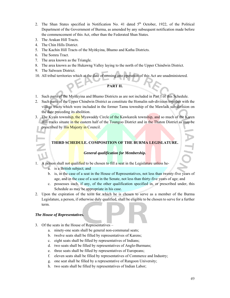- 2. The Shan States specified in Notification No. 41 dated  $5<sup>th</sup>$  October, 1922, of the Political Department of the Government of Burma, as amended by any subsequent notification made before the commencement of this Act, other than the Federated Shan States.
- 3. The Arakan Hill Tracts.
- 4. The Chin Hills District.
- 5. The Kachin Hill Tracts of the Myitkyina, Bhamo and Katha Districts.
- 6. The Somra Tract.
- 7. The area known as the Triangle.
- 8. The area known as the Hukawng Valley laying to the north of the Upper Chindwin District.
- 9. The Salween District.
- 10. All tribal territories which at the date of coming into operation of this Act are unadministered.

# **PART II.**

- 1. Such parts of the Myitkyina and Bhamo Districts as are not included in Part I of this Schedule.
- 2. Such parts of the Upper Chindwin District as constitute the Homalin sub-division together with the village tracts which were included in the former Tamu township of the Mawlaik sub-division on the date preceding its abolition.
- 3. The Kyain township, the Myawaddy Circle of the Kawkareik township, and so much of the Karen Hill tracks situate in the eastern half of the Toungoo District and in the Thaton District as may be prescribed by His Majesty in Council.

# **THIRD SCHEDULE. COMPOSITION OF THE BURMA LEGISLATURE.**

### *General qualification for Membership.*

- 1. A person shall not qualified to be chosen to fill a seat in the Legislature unless he
	- a. is a British subject; and
	- b. is, in the case of a seat in the House of Representatives, not less than twenty-five years of age, and in the case of a seat in the Senate, not less than thirty-five years of age; and
	- c. possesses such, if any, of the other qualification specified in, or prescribed under, this Schedule as may be appropriate in his case.
- 2. Upon the expiration of the term for which he is chosen to serve as a member of the Burma Legislature, a person, if otherwise duly qualified, shall be eligible to be chosen to serve for a further term.

#### *The House of Representatives.*

- 3. Of the seats in the House of Representatives
	- a. ninety-one seats shall be general non-communal seats;
	- b. twelve seats shall be filled by representatives of Karens;
	- c. eight seats shall be filled by representatives of Indians;
	- d. two seats shall be filled by representatives of Anglo-Burmans;
	- e. three seats shall be filled by representatives of Europeans;
	- f. eleven seats shall be filled by representatives of Commerce and Industry;
	- g. one seat shall be filled by a representative of Rangoon University;
	- h. two seats shall be filled by representatives of Indian Labor;

ATIC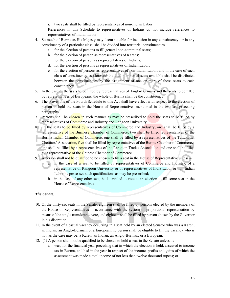i. two seats shall be filled by representatives of non-Indian Labor.

References in this Schedule to representatives of Indians do not include references to representatives of Indian Labor.

- 4. So much of Burma as His Majesty may deem suitable for inclusion in any constituency, or in any constituency of a particular class, shall be divided into territorial constituencies –
	- a. for the election of persons to fill general non-communal seats;
	- b. for the election of person as representatives of Karens;
	- c. for the election of persons as representatives of Indians;
	- d. for the election of persons as representatives of Indian Labor;
	- e. for the election of persons as representatives of non-Indian Labor, and in the case of each class of constituency as aforesaid the total number of seats available shall be distributed between the constituencies by the assignment of one or more of those seats to each constituency.
- 5. In the case of the seats to be filled by representatives of Anglo-Burmans and the seats to be filled by representatives of Europeans, the whole of Burma shall be the constituency.
- 6. The provisions of the Fourth Schedule to this Act shall have effect with respect to the election of person to hold the seats in the House of Representatives mentioned in the two last preceding paragraphs.
- 7. Persons shall be chosen in such manner as may be prescribed to hold the seats to be filled by representatives of Commerce and Industry and Rangoon University.
- 8. Of the seats to be filled by representatives of Commerce and Industry, one shall be filled by a representative of the Burmese Chamber of Commerce, two shall be filled representatives of the Burma Indian Chamber of Commerce, one shall be filled by a representatives of the Tattukottai Chettiars' Association, five shall be filled by representatives of the Burma Chamber of Commerce, one shall be filled by a representatives of the Rangoon Trades Association and one shall be filled by a representative of the Chinese Chamber of Commerce.
- 9. A person shall not be qualified to be chosen to fill a seat in the House of Representative unless
	- a. in the case of a seat to be filled by representatives of Commerce and Industry, of a representative of Rangoon University or of representatives of India Labor or non-Indian Labor he possesses such qualifications as may be prescribed;
	- b. in the case of any other seat, he is entitled to vote at an election to fill some seat in the House of Representatives

# *The Senate.*

- 10. Of the thirty-six seats in the Senate, eighteen shall be filled by persons elected by the members of the House of Representatives in accordance with the system of proportional representation by means of the single transferable vote, and eighteen shall be filled by person chosen by the Governor in his discretion.
- 11. In the event of a casual vacancy occurring in a seat held by an elected Senator who was a Karen, an Indian, an Anglo-Burman, or a European, no person shall be eligible to fill the vacancy who is not, as the case may be, a Karen, an Indian, an Anglo-Burman, or a European.
- 12. (1) A person shall not be qualified to be chosen to hold a seat in the Senate unless he
	- a. was, for the financial year preceding that in which the election is held, assessed to income tax in Burma, and had in the year in respect of the income, profits and gains of which the assessment was made a total income of not less than twelve thousand rupees; or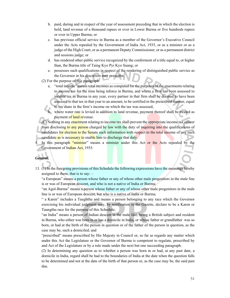- b. paid, during and in respect of the year of assessment preceding that in which the election is held, land revenue of a thousand rupees or over in Lower Burma or five hundreds rupees or over in Upper Burma; or
- c. has previous official service in Burma as a member of the Governor's Executive Council under the Acts repealed by the Government of India Act, 1935, or as a minister or as a judge of the High Court, or as a permanent Deputy Commissioner, or as a permanent district and sessions judge; or
- d. has rendered other public service recognized by the conferment of a title equal to, or higher than, the Burma title of Taing Kyo Pyi Kyo Suang; or
- e. possesses such qualifications in respect of the rendering of distinguished public service as the Governor in his discretion may prescribe.
- (2) For the purpose of this paragraph:
	- a. "total income" means total incomes as computed for the purposes of the enactments relating to income tax for the time being inforce in Burma, and where a firm has been assessed to income tax in Burma in any year, every partner in that firm shall be deemed to have been assessed to that tax in that year to an amount, to be certified in the prescribed manner, equal to his share in the firm's income on which the tax was assessed;
	- b. where water rate is levied in addition to land revenue, payment thereof shall be treated as payment of land revenue.

(C) Nothing in any enactment relating to income tax shall prevent the appropriate income tax officer from disclosing to any person charged by law with the duty of inquiring into the qualifications of candidates for election to the Senate such information with respect to the total income of any such candidate as is necessary to enable him to discharge that duty.

In this paragraph "minister" means a minister under this Act or the Acts repealed by the Government of Indian Act, 1935.

### *General.*

13. (1) In the foregoing provisions of this Schedule the following expressions have the meanings hereby assigned to them, that is to say: –

"a European" means a person whose father or any of whose other male progenitors in the male line is or was of European descent, and who is not a native of India or Burma;

"an Agol-Burma" means a person whose father or any of whose other male progenitors in the male line is or was of European descent, but who is a native of India or Burma;

" a Karen" includes a Taughthu and means a person belonging to any race which the Governor exercising his individual judgment may, by notification in the Gazette, declare to be a Karen or Taungthu race for the purpose of this Schedule;

"an India" means a person of Indian descent in the male like, being a British subject and resident in Burma, who either was born in or has a domicile in India, or whose father or grandfather was so born, or had at the birth of the person in question or of the father of the person in question, as the case may be, such a domiciled; and

"prescribed" means prescribed by His Majesty in Council or, so far as regards any matter which under this Act the Legislature or the Governor of Burma is competent to regulate, prescribed by and Act of the Legislature or by a rule made under the next but one succeeding paragraph.

(2) In determining any question as to whether a person was born in or had, at any past date, a domicile in India, regard shall be had to the boundaries of India at the date when the question falls to be determined and not at the date of the birth of that person or, as the case may be, the said past due.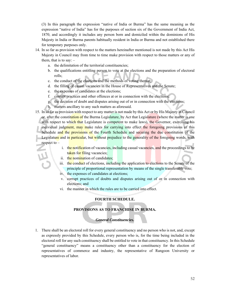(3) In this paragraph the expression "native of India or Burma" has the same meaning as the expression "native of India" has for the purposes of section six of the Government of India Act, 1870, and accordingly it includes any person born and domiciled within the dominions of His Majesty in India or Burma parents habitually resident in India or Burma and not established there for temporary purposes only.

- 14. In so far as provision with respect to the matters hereinafter mentioned is not made by this Act His Majesty in Council may from time to time make provision with respect to those matters or any of them, that is to say:  $$ 
	- a. the delimitation of the territorial constituencies;
	- b. the qualifications entitling person to vote at the elections and the preparation of electoral rolls;
	- c. the conduct of the elections and the methods of voting thereat;
	- d. the filling of casual vacancies in the House of Representatives and the Senate;
	- e. the expenses of candidates at the elections;
	- f. corrupt practices and other offences at or in connection with the elections;
	- g. the decision of doubt and disputes arising out of or in connection with the elections;
	- h. matters ancillary to any such matters as aforesaid.
- 15. In so far as provision with respect to any matter is not made by this Act or by His Majesty in Council or, after the constitution of the Burma Legislature, by Act that Legislature (where the matter is one with respect to which that Legislature is competent to make laws), the Governor, exercising his individual judgment, may make rules for carrying into effect the foregoing provisions of this Schedule and the provisions of the Fourth Schedule and securing the due constitution of the Legislature and in particular, but without prejudice to the generality of the foregoing words, with respect to –
	- i. the notification of vacancies, including casual vacancies, and the proceedings to be taken for filing vacancies;
	- ii. the nomination of candidates:
	- iii. the conduct of elections, including the application to elections to the Senate of the principle of proportional representation by means of the single transferable vote;
	- iv. the expenses of candidates at elections;
	- v. corrupt practices of doubts and disputes arising out of or in connection with elections; and
	- vi. the manner in which the rules are to be carried into effect.

# **FOURTH SCHEDULE.**

# **PROVISIONS AS TO FRANCHISE IN BURMA.**

#### *General Constituencies.*

1. There shall be an electoral roll for every general constituency and no person who is not, and, except as expressly provided by this Schedule, every person who is, for the time being included in the electoral roll for any such constituency shall be entitled to vote in that constituency. In this Schedule "general constituency" means a constituency other than a constituency for the election of representatives of commerce and industry, the representative of Rangoon University or representatives of labor.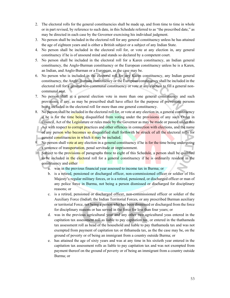- 2. The electoral rolls for the general constituencies shall be made up, and from time to time in whole or in part revised, by reference to such date, in this Schedule referred to as "the prescribed date," as may be directed in each case by the Governor exercising his individual judgment.
- 3. No person shall be included in the electoral roll for any general constituency unless he has attained the age of eighteen years and is either a British subject or a subject of any Indian State.
- 4. No person shall be included in the electoral roll for, or vote at any election in, any general constituency if he is of unsound mind and stands so declared by a competent court.
- 5. No person shall be included in the electoral roll for a Karen constituency, an Indian general constituency, the Anglo-Burman constituency or the European constituency unless he is a Karen, an Indian, and Anglo-Burman or a European, as the case may be.
- 6. No person who is included in the electoral roll for any Karen constituency, any Indian general constituency, the Anglo-Burman constituency or the European constituency shall be included in the electoral roll for a general non-communal constituency or vote at any election to fill a general noncommunal seat.
- 7. No person shall at a general election vote in more than one general constituency and such provisions, if any, as may be prescribed shall have effect for the purpose of preventing persons being included in the electoral roll for more than one general constituency.
- 8. No person shall be included in the electoral roll for, or vote at any election in, a general constituency if he is for the time being disqualified from voting under the provisions of any such Order in Council, Act of the Legislature or rules made by the Governor as may be made or passed under this Act with respect to corrupt practices and other offences in connection with elections, and the name of any person who becomes so disqualified shall forthwith be struck of all the electoral rolls for general constituencies in which it may be included.
- 9. No person shall vote at any election in a general constituency if he is for the time being undergoing a sentence of transportation, penal servitude or imprisonment.
- 10. Subject to the provisions of paragraphs three to eight of this Schedule, a person shall be qualified to be included in the electoral roll for a general constituency if he is ordinarily resident in the constituency and either
	- a. was in the previous financial year assessed to income tax in Burma; or
	- b. is a retired, pensioned or discharged officer, non-commissioned officer or soldier of His Majesty's regular military forces, or is a retired, pensioned, or discharged officer or man of any police force in Burma, not being a person dismissed or discharged for disciplinary reasons; or
	- c. is a retired, pensioned or discharged officer, non-commissioned officer or soldier of the Auxiliary Force (India0, the Indian Territorial Forces, or any prescribed Burman auxiliary or territorial Force, not being a person who has been dismissed or discharged from the force for disciplinary reasons or has served in the force for less than four years; or
	- d. was in the previous agricultural year and any other two agricultural yeas entered in the capitation tax assessment roll as liable to pay capitation tax, or entered in the thathameda tax assessment roll as head of the household and liable to pay thathameda tax and was not exempted from payment of capitation tax or ththameda tax, as the the case may be, on the ground of poverty or of being an immigrant from a country outside Burma; or
	- e. has attained the age of sixty years and was at any time in his sixtieth year entered in the capitation tax assessment rolls as liable to pay capitation tax and was not exempted from payment thereof on the ground of poverty or of being an immigrant from a country outside Burma; or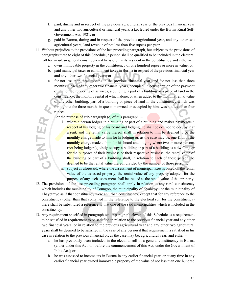- f. paid, during and in respect of the previous agricultural year or the previous financial year and any other two agricultural or financial years, a tax levied under the Burma Rural Self-Government Act, 1921; or
- g. paid in Burma, during and in respect of the previous agricultural year, and any other two agricultural years, land revenue of not less than five rupees per year.
- 11. Without prejudice to the provisions of the last preceding paragraph, but subject to the provisions of paragraphs three to eight of this Schedule, a person shall be qualified to be included in the electoral roll for an urban general constituency if he is ordinarily resident in the constituency and either –
	- a. owns immovable property in the constituency of one hundred rupees or more in value; or
	- b. paid municipal taxes or cantonment taxes in Burma in respect of the previous financial year and any other two financial years; or
- c. for not less than three months in the previous financial year, and for not less than three months in each of any other two financial years, occupied, in consideration of the payment of rent or the rendering of services, a building, a part of a building or a piece of land in the constituency, the monthly rental of which alone, or when added to the monthly rental value of any other building, part of a building or piece of land in the constituency which was throughout the three months in question owned or occupied by him, was not less than four rupees. ENTER,

For the purpose of sub-paragraph  $(c)$  of this paragraph,  $-$ 

- i. where a person lodges in a building or part of a building and makes payments in respect of his lodging or his board and lodging, he shall be deemed to occupy it at a rent, and the rental value thereof shall in relation to him be deemed to be the monthly charge made to him for hi lodging or, as the case may be, one-fifth of the monthly charge made to him for his board and lodging; where two or more persons (not being lodgers) jointly occupy a building or part of a building as a dwelling or for the purposes of their business or their respective business, the rental value of the building or part of a building shall, in relation to each of those person, be deemed to be the rental value thereof divided by the number of those persons;
- ii. subject as aforesaid, where the assessment of municipal taxes is based on the rental value of the assessed property, the rental value of any property adopted for the purpose of any such assessment shall be treated as the rental value of that property.
- 12. The provisions of the last preceding paragraph shall apply in relation to any rural constituency which includes the municipality of Toungoo, the municipality of Kyahkpyu or the municipality of Thayetmyo as if that constituency were an urban constituency, except that for any reference to the constituency (other than that contained in the reference to the electoral roll for the constituency) there shall be substituted a reference to that one of the said municipalities which is included in the constituency.
- 13. Any requirement specified in paragraph ten or paragraph eleven of this Schedule as a requirement to be satisfied in requirement to be satisfied in relation to the previous financial year and any other two financial years, or in relation to the previous agricultural year and any other two agricultural years shall be deemed to be satisfied in the case of any person it that requirement is satisfied in his case in relation to the previous financial or, as the case may be, agricultural year, and either –
	- a. he has previously been included in the electoral roll of a general constituency in Burma (either under this Act, or, before the commencement of this Act, under the Government of India Act); or
	- b. he was assessed to income tax in Burma in any earlier financial year, or at any time in any earlier financial year owned immovable property of the value of not less than one hundred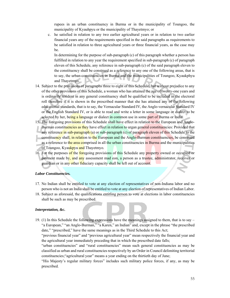rupees in an urban constituency in Burma or in the municipality of Toungoo, the municipality of Kyauhpyu or the municipality of Thayetmyo; or

c. he satisfied in relation to any two earlier agricultural years or in relation to two earlier financial years any of the requirements specified in the said paragraphs as requirements to be satisfied in relation to three agricultural years or three financial years, as the case may be.

In determining for the purpose of sub-paragraph (c) of this paragraph whether a person has fulfilled in relation to any year the requirement specified in sub-paragraph (c) of paragraph eleven of this Schedule, any reference in sub-paragraph (c) of the said paragraph eleven to the constituency shall be construed as a reference to any one of the following areas, that is to say, the urban-constituencies in Burma and the municipalities of Toungoo, Kyaukphyu and Thayetmyo.

- 14. Subject to the provisions of paragraphs three to eight of this Schedule, but without prejudice to any of the other provisions of this Schedule, a woman who has attained the age of twenty-one years and is ordinarily resident in any general constituency shall be qualified to be included in the electoral roll therefore if it is shown in the prescribed manner that she has attained any of the following educational standards, that is to say, the Vernacular Standard IV, the Anglo-vernacular Standard IV or the English Standard IV, or is able to read and write a letter in some language or dialect to be selected by her, being a language or dialect in common use in some part of Burma or India.
- 15. The foregoing provisions of this Schedule shall have effect in relation to the European and Anglo-Burman constituencies as they have effect in relation to urgan general constituencies: Provided that any reference in sub-paragraph (a) or sub-paragraph (c) of paragraph eleven of this Schedule to the constituency shall, in relation to the European and the Anglo-Burman constituencies, be construed as a reference to the area comprised in all the urban constituencies in Burma and the municipalities of Toungoo, Kyaukpyu and Thayetmyo.
- 16. For the purposes of the foregoing provisions of this Schedule any property owned or occupied or payment made by, and any assessment mad eon, a person as a trustee, administrator, receiver or guardian or in any other fiduciary capacity shall be left out of account.

#### *Labor Constituencies.*

- 17. No Indian shall be entitled to vote at any election of representatives of non-Indiana labor and no person who is not an India shall be entitled to vote at any election of representatives of Indian Labor.
- 18. Subject as aforesaid, the qualifications entitling person to vote at elections in labor constituencies shall be such as may be prescribed.

#### *Interpretation, &c.*

19. (1) In this Schedule the following expressions have the meanings assigned to them, that is to say – "a European," "an Anglo-Burman," "a Karen," an Indian" and, except in the phrase "the prescribed date," "prescribed," have the same meanings as in the Third Schedule to this Act;

"previous financial year" and "previous agricultural year" mean respectively the financial year and the agricultural year immediately preceding that in which the prescribed date falls;

"urban constituencies" and "rural constituencies" mean such general constituencies as may be classified as urban and rural constituencies respectively by an Order in Council delimiting territorial constituencies;"agricultural year" means a year ending on the thirtieth day of June;

"His Majesty's regular military forces" includes such military police forces, if any, as may be prescribed.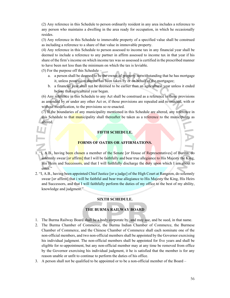(2) Any reference in this Schedule to person ordinarily resident in any area includes a reference to any person who maintains a dwelling in the area ready for occupation, in which he occasionally resides.

(3) Any reference in this Schedule to immovable property of a specified value shall be construed as including a reference to a share of that value in immovable property.

(4) Any reference in this Schedule to person assessed to income tax in any financial year shall be deemed to include a reference to any partner in affirm assessed to income tax in that year if his share of the firm's income on which income tax was so assessed is certified in the prescribed manner to have been not less than the minimum on which the tax is leviable.

(5) For the purpose off this Schedule –

- a. a person shall be deemed to be the owner of property notwithstanding that he has mortgage it, unless possession thereof has been taken by or on behalf of the mortgagee;
- b. a financial year shall not be deemed to be earlier than an agricultural year unless it ended before that agricultural year began.

(6) Any reference in this Schedule to any Act shall be construed as a reference to those provisions as amended by or under any other Act or, if those provisions are repealed and re-enacted, with or without modification, to the provisions so re-enacted.

(7) If the boundaries of any municipality mentioned in this Schedule are altered, any reference in this Schedule to that municipality shall thereafter be taken as a reference to the municipality as altered.

# **FIFTH SCHEDULE.**

# **FORMS OF OATHS OR AFFIRMATIONS.**

- 1. "I, A.B., having been chosen a member of the Senate [*or* House of Representatives] of Burma, do solemnly swear [*or* affirm] that I will be faithfully and bear true allegiance to His Majesty the King, His Heirs and Successors, and that I will faithfully discharge the duty upon which I am about to enter."
- 2. "I, A.B., having been appointed Chief Justice [*or* a judge] of the High Court at Rangoon, do solemnly swear [*or* affirm] that i will be faithful and bear true allegiance to His Majesty the King, His Heirs and Successors, and that I will faithfully perform the duties of my office to the best of my ability, knowledge and judgment."

#### **SIXTH SCHEDULE.**

# **THE BURMA RAILWAY BOARD**

- 1. The Burma Railway Board shall be a body corporate by, and may sue, and be sued, in that name.
- 2. The Burma Chamber of Commerce, the Burma Indian Chamber of Commerce, the Burmese Chamber of Commerce, and the Chinese Chamber of Commerce shall each nominate one of the non-official members, and two non-official members shall be appointed by the Governor exercising his individual judgment. The non-official members shall be appointed for five years and shall be eligible for re-appointment, but any non-official member may at any time be removed from office by the Governor exercising his individual judgment, it he is satisfied that the member is for any reason unable or unfit to continue to perform the duties of his office.
- 3. A person shall not be qualified to be appointed or to be a non-official member of the Board –